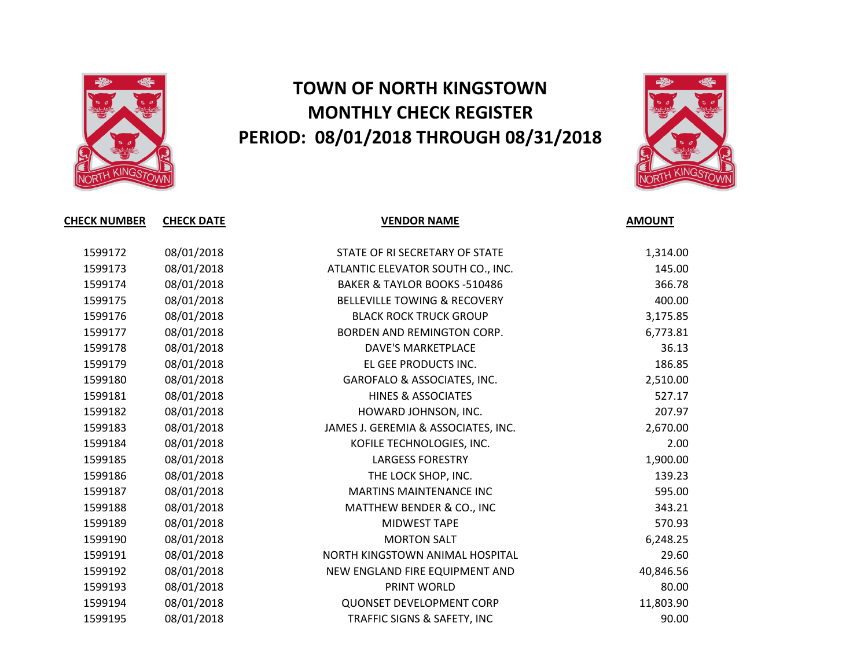

## **TOWN OF NORTH KINGSTOWN MONTHLY CHECK REGISTER PERIOD: 08/01/2018 THROUGH 08/31/2018**



| <b>CHECK NUMBER</b> | <b>CHECK DATE</b> | <b>VENDOR NAME</b>                      | <b>AMOUNT</b> |
|---------------------|-------------------|-----------------------------------------|---------------|
| 1599172             | 08/01/2018        | STATE OF RI SECRETARY OF STATE          | 1,314.00      |
| 1599173             | 08/01/2018        | ATLANTIC ELEVATOR SOUTH CO., INC.       | 145.00        |
| 1599174             | 08/01/2018        | <b>BAKER &amp; TAYLOR BOOKS -510486</b> | 366.78        |
| 1599175             | 08/01/2018        | <b>BELLEVILLE TOWING &amp; RECOVERY</b> | 400.00        |
| 1599176             | 08/01/2018        | <b>BLACK ROCK TRUCK GROUP</b>           | 3,175.85      |
| 1599177             | 08/01/2018        | BORDEN AND REMINGTON CORP.              | 6,773.81      |
| 1599178             | 08/01/2018        | DAVE'S MARKETPLACE                      | 36.13         |
| 1599179             | 08/01/2018        | EL GEE PRODUCTS INC.                    | 186.85        |
| 1599180             | 08/01/2018        | GAROFALO & ASSOCIATES, INC.             | 2,510.00      |
| 1599181             | 08/01/2018        | <b>HINES &amp; ASSOCIATES</b>           | 527.17        |
| 1599182             | 08/01/2018        | HOWARD JOHNSON, INC.                    | 207.97        |
| 1599183             | 08/01/2018        | JAMES J. GEREMIA & ASSOCIATES, INC.     | 2,670.00      |
| 1599184             | 08/01/2018        | KOFILE TECHNOLOGIES, INC.               | 2.00          |
| 1599185             | 08/01/2018        | <b>LARGESS FORESTRY</b>                 | 1,900.00      |
| 1599186             | 08/01/2018        | THE LOCK SHOP, INC.                     | 139.23        |
| 1599187             | 08/01/2018        | <b>MARTINS MAINTENANCE INC</b>          | 595.00        |
| 1599188             | 08/01/2018        | MATTHEW BENDER & CO., INC               | 343.21        |
| 1599189             | 08/01/2018        | MIDWEST TAPE                            | 570.93        |
| 1599190             | 08/01/2018        | <b>MORTON SALT</b>                      | 6,248.25      |
| 1599191             | 08/01/2018        | NORTH KINGSTOWN ANIMAL HOSPITAL         | 29.60         |
| 1599192             | 08/01/2018        | NEW ENGLAND FIRE EQUIPMENT AND          | 40,846.56     |
| 1599193             | 08/01/2018        | PRINT WORLD                             | 80.00         |
| 1599194             | 08/01/2018        | <b>QUONSET DEVELOPMENT CORP</b>         | 11,803.90     |
| 1599195             | 08/01/2018        | TRAFFIC SIGNS & SAFETY, INC             | 90.00         |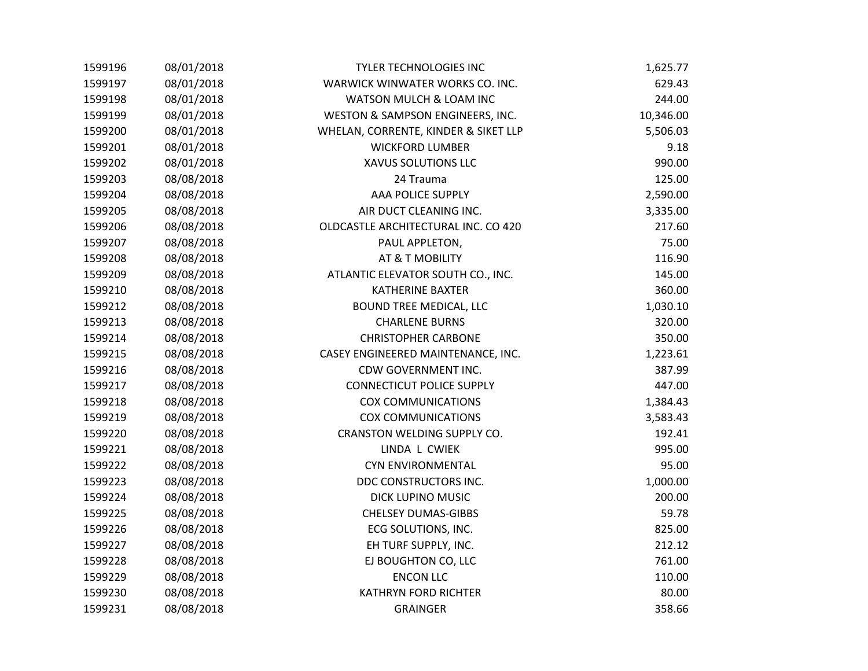| 1599196 | 08/01/2018 | <b>TYLER TECHNOLOGIES INC</b>        | 1,625.77  |
|---------|------------|--------------------------------------|-----------|
| 1599197 | 08/01/2018 | WARWICK WINWATER WORKS CO. INC.      | 629.43    |
| 1599198 | 08/01/2018 | WATSON MULCH & LOAM INC              | 244.00    |
| 1599199 | 08/01/2018 | WESTON & SAMPSON ENGINEERS, INC.     | 10,346.00 |
| 1599200 | 08/01/2018 | WHELAN, CORRENTE, KINDER & SIKET LLP | 5,506.03  |
| 1599201 | 08/01/2018 | <b>WICKFORD LUMBER</b>               | 9.18      |
| 1599202 | 08/01/2018 | XAVUS SOLUTIONS LLC                  | 990.00    |
| 1599203 | 08/08/2018 | 24 Trauma                            | 125.00    |
| 1599204 | 08/08/2018 | AAA POLICE SUPPLY                    | 2,590.00  |
| 1599205 | 08/08/2018 | AIR DUCT CLEANING INC.               | 3,335.00  |
| 1599206 | 08/08/2018 | OLDCASTLE ARCHITECTURAL INC. CO 420  | 217.60    |
| 1599207 | 08/08/2018 | PAUL APPLETON,                       | 75.00     |
| 1599208 | 08/08/2018 | AT & T MOBILITY                      | 116.90    |
| 1599209 | 08/08/2018 | ATLANTIC ELEVATOR SOUTH CO., INC.    | 145.00    |
| 1599210 | 08/08/2018 | <b>KATHERINE BAXTER</b>              | 360.00    |
| 1599212 | 08/08/2018 | BOUND TREE MEDICAL, LLC              | 1,030.10  |
| 1599213 | 08/08/2018 | <b>CHARLENE BURNS</b>                | 320.00    |
| 1599214 | 08/08/2018 | <b>CHRISTOPHER CARBONE</b>           | 350.00    |
| 1599215 | 08/08/2018 | CASEY ENGINEERED MAINTENANCE, INC.   | 1,223.61  |
| 1599216 | 08/08/2018 | CDW GOVERNMENT INC.                  | 387.99    |
| 1599217 | 08/08/2018 | <b>CONNECTICUT POLICE SUPPLY</b>     | 447.00    |
| 1599218 | 08/08/2018 | <b>COX COMMUNICATIONS</b>            | 1,384.43  |
| 1599219 | 08/08/2018 | <b>COX COMMUNICATIONS</b>            | 3,583.43  |
| 1599220 | 08/08/2018 | CRANSTON WELDING SUPPLY CO.          | 192.41    |
| 1599221 | 08/08/2018 | LINDA L CWIEK                        | 995.00    |
| 1599222 | 08/08/2018 | <b>CYN ENVIRONMENTAL</b>             | 95.00     |
| 1599223 | 08/08/2018 | DDC CONSTRUCTORS INC.                | 1,000.00  |
| 1599224 | 08/08/2018 | DICK LUPINO MUSIC                    | 200.00    |
| 1599225 | 08/08/2018 | <b>CHELSEY DUMAS-GIBBS</b>           | 59.78     |
| 1599226 | 08/08/2018 | ECG SOLUTIONS, INC.                  | 825.00    |
| 1599227 | 08/08/2018 | EH TURF SUPPLY, INC.                 | 212.12    |
| 1599228 | 08/08/2018 | EJ BOUGHTON CO, LLC                  | 761.00    |
| 1599229 | 08/08/2018 | <b>ENCON LLC</b>                     | 110.00    |
| 1599230 | 08/08/2018 | <b>KATHRYN FORD RICHTER</b>          | 80.00     |
| 1599231 | 08/08/2018 | <b>GRAINGER</b>                      | 358.66    |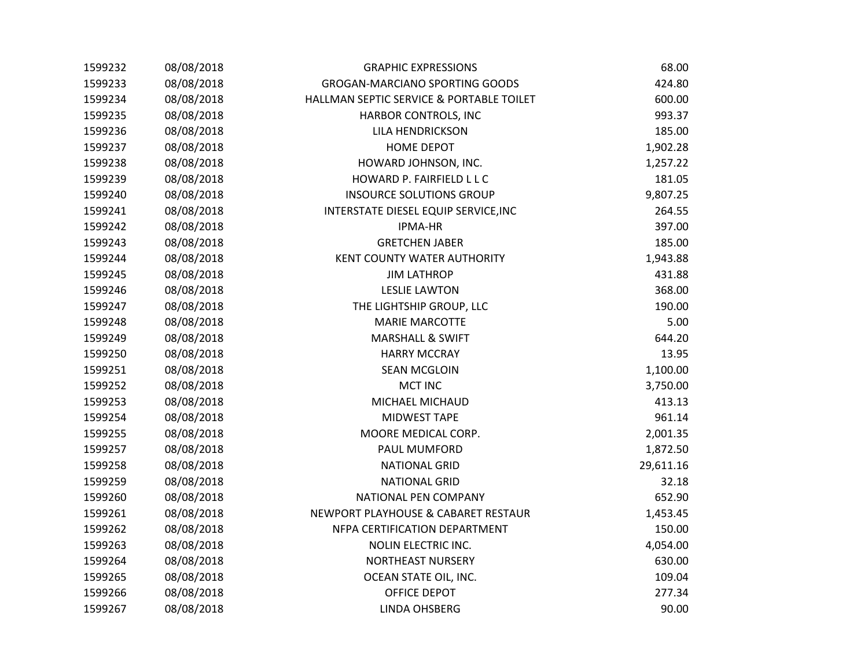| 1599232 | 08/08/2018 | <b>GRAPHIC EXPRESSIONS</b>               | 68.00     |
|---------|------------|------------------------------------------|-----------|
| 1599233 | 08/08/2018 | <b>GROGAN-MARCIANO SPORTING GOODS</b>    | 424.80    |
| 1599234 | 08/08/2018 | HALLMAN SEPTIC SERVICE & PORTABLE TOILET | 600.00    |
| 1599235 | 08/08/2018 | HARBOR CONTROLS, INC                     | 993.37    |
| 1599236 | 08/08/2018 | LILA HENDRICKSON                         | 185.00    |
| 1599237 | 08/08/2018 | <b>HOME DEPOT</b>                        | 1,902.28  |
| 1599238 | 08/08/2018 | HOWARD JOHNSON, INC.                     | 1,257.22  |
| 1599239 | 08/08/2018 | HOWARD P. FAIRFIELD L L C                | 181.05    |
| 1599240 | 08/08/2018 | <b>INSOURCE SOLUTIONS GROUP</b>          | 9,807.25  |
| 1599241 | 08/08/2018 | INTERSTATE DIESEL EQUIP SERVICE, INC     | 264.55    |
| 1599242 | 08/08/2018 | IPMA-HR                                  | 397.00    |
| 1599243 | 08/08/2018 | <b>GRETCHEN JABER</b>                    | 185.00    |
| 1599244 | 08/08/2018 | KENT COUNTY WATER AUTHORITY              | 1,943.88  |
| 1599245 | 08/08/2018 | <b>JIM LATHROP</b>                       | 431.88    |
| 1599246 | 08/08/2018 | <b>LESLIE LAWTON</b>                     | 368.00    |
| 1599247 | 08/08/2018 | THE LIGHTSHIP GROUP, LLC                 | 190.00    |
| 1599248 | 08/08/2018 | <b>MARIE MARCOTTE</b>                    | 5.00      |
| 1599249 | 08/08/2018 | <b>MARSHALL &amp; SWIFT</b>              | 644.20    |
| 1599250 | 08/08/2018 | <b>HARRY MCCRAY</b>                      | 13.95     |
| 1599251 | 08/08/2018 | <b>SEAN MCGLOIN</b>                      | 1,100.00  |
| 1599252 | 08/08/2018 | <b>MCT INC</b>                           | 3,750.00  |
| 1599253 | 08/08/2018 | MICHAEL MICHAUD                          | 413.13    |
| 1599254 | 08/08/2018 | <b>MIDWEST TAPE</b>                      | 961.14    |
| 1599255 | 08/08/2018 | MOORE MEDICAL CORP.                      | 2,001.35  |
| 1599257 | 08/08/2018 | PAUL MUMFORD                             | 1,872.50  |
| 1599258 | 08/08/2018 | <b>NATIONAL GRID</b>                     | 29,611.16 |
| 1599259 | 08/08/2018 | <b>NATIONAL GRID</b>                     | 32.18     |
| 1599260 | 08/08/2018 | NATIONAL PEN COMPANY                     | 652.90    |
| 1599261 | 08/08/2018 | NEWPORT PLAYHOUSE & CABARET RESTAUR      | 1,453.45  |
| 1599262 | 08/08/2018 | NFPA CERTIFICATION DEPARTMENT            | 150.00    |
| 1599263 | 08/08/2018 | NOLIN ELECTRIC INC.                      | 4,054.00  |
| 1599264 | 08/08/2018 | <b>NORTHEAST NURSERY</b>                 | 630.00    |
| 1599265 | 08/08/2018 | OCEAN STATE OIL, INC.                    | 109.04    |
| 1599266 | 08/08/2018 | OFFICE DEPOT                             | 277.34    |
| 1599267 | 08/08/2018 | <b>LINDA OHSBERG</b>                     | 90.00     |
|         |            |                                          |           |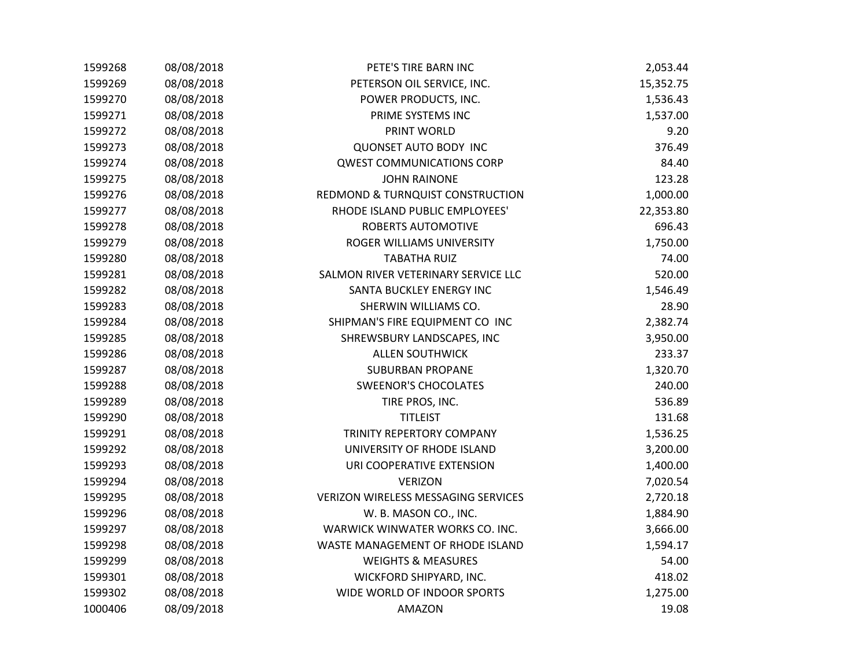| 1599268 | 08/08/2018 | PETE'S TIRE BARN INC                       | 2,053.44  |
|---------|------------|--------------------------------------------|-----------|
| 1599269 | 08/08/2018 | PETERSON OIL SERVICE, INC.                 | 15,352.75 |
| 1599270 | 08/08/2018 | POWER PRODUCTS, INC.                       | 1,536.43  |
| 1599271 | 08/08/2018 | PRIME SYSTEMS INC                          | 1,537.00  |
| 1599272 | 08/08/2018 | PRINT WORLD                                | 9.20      |
| 1599273 | 08/08/2018 | <b>QUONSET AUTO BODY INC</b>               | 376.49    |
| 1599274 | 08/08/2018 | <b>QWEST COMMUNICATIONS CORP</b>           | 84.40     |
| 1599275 | 08/08/2018 | <b>JOHN RAINONE</b>                        | 123.28    |
| 1599276 | 08/08/2018 | REDMOND & TURNQUIST CONSTRUCTION           | 1,000.00  |
| 1599277 | 08/08/2018 | RHODE ISLAND PUBLIC EMPLOYEES'             | 22,353.80 |
| 1599278 | 08/08/2018 | ROBERTS AUTOMOTIVE                         | 696.43    |
| 1599279 | 08/08/2018 | ROGER WILLIAMS UNIVERSITY                  | 1,750.00  |
| 1599280 | 08/08/2018 | <b>TABATHA RUIZ</b>                        | 74.00     |
| 1599281 | 08/08/2018 | SALMON RIVER VETERINARY SERVICE LLC        | 520.00    |
| 1599282 | 08/08/2018 | SANTA BUCKLEY ENERGY INC                   | 1,546.49  |
| 1599283 | 08/08/2018 | SHERWIN WILLIAMS CO.                       | 28.90     |
| 1599284 | 08/08/2018 | SHIPMAN'S FIRE EQUIPMENT CO INC            | 2,382.74  |
| 1599285 | 08/08/2018 | SHREWSBURY LANDSCAPES, INC                 | 3,950.00  |
| 1599286 | 08/08/2018 | <b>ALLEN SOUTHWICK</b>                     | 233.37    |
| 1599287 | 08/08/2018 | <b>SUBURBAN PROPANE</b>                    | 1,320.70  |
| 1599288 | 08/08/2018 | <b>SWEENOR'S CHOCOLATES</b>                | 240.00    |
| 1599289 | 08/08/2018 | TIRE PROS, INC.                            | 536.89    |
| 1599290 | 08/08/2018 | <b>TITLEIST</b>                            | 131.68    |
| 1599291 | 08/08/2018 | TRINITY REPERTORY COMPANY                  | 1,536.25  |
| 1599292 | 08/08/2018 | UNIVERSITY OF RHODE ISLAND                 | 3,200.00  |
| 1599293 | 08/08/2018 | URI COOPERATIVE EXTENSION                  | 1,400.00  |
| 1599294 | 08/08/2018 | <b>VERIZON</b>                             | 7,020.54  |
| 1599295 | 08/08/2018 | <b>VERIZON WIRELESS MESSAGING SERVICES</b> | 2,720.18  |
| 1599296 | 08/08/2018 | W. B. MASON CO., INC.                      | 1,884.90  |
| 1599297 | 08/08/2018 | WARWICK WINWATER WORKS CO. INC.            | 3,666.00  |
| 1599298 | 08/08/2018 | WASTE MANAGEMENT OF RHODE ISLAND           | 1,594.17  |
| 1599299 | 08/08/2018 | <b>WEIGHTS &amp; MEASURES</b>              | 54.00     |
| 1599301 | 08/08/2018 | WICKFORD SHIPYARD, INC.                    | 418.02    |
| 1599302 | 08/08/2018 | WIDE WORLD OF INDOOR SPORTS                | 1,275.00  |
| 1000406 | 08/09/2018 | AMAZON                                     | 19.08     |
|         |            |                                            |           |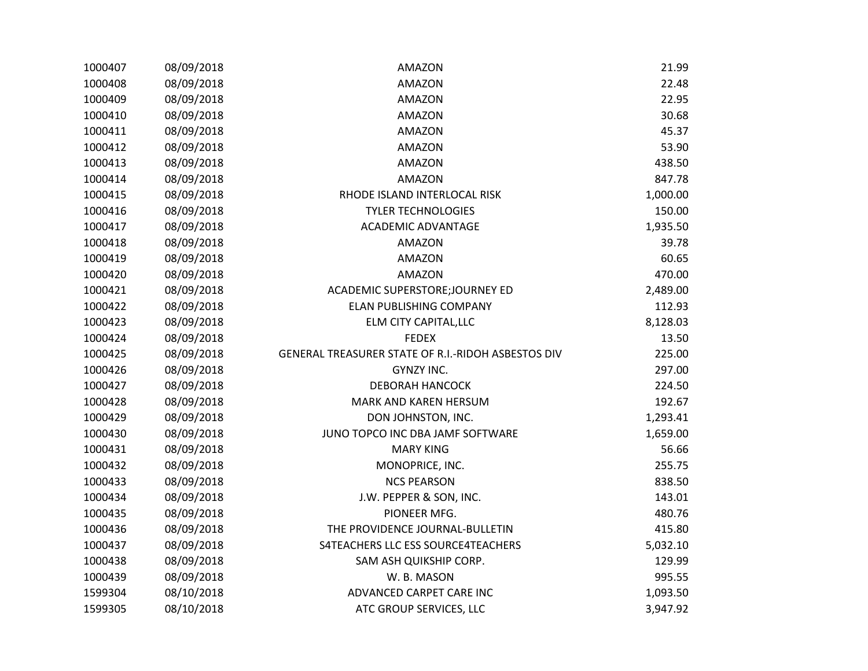| 1000407 | 08/09/2018 | <b>AMAZON</b>                                      | 21.99    |
|---------|------------|----------------------------------------------------|----------|
| 1000408 | 08/09/2018 | AMAZON                                             | 22.48    |
| 1000409 | 08/09/2018 | <b>AMAZON</b>                                      | 22.95    |
| 1000410 | 08/09/2018 | AMAZON                                             | 30.68    |
| 1000411 | 08/09/2018 | AMAZON                                             | 45.37    |
| 1000412 | 08/09/2018 | <b>AMAZON</b>                                      | 53.90    |
| 1000413 | 08/09/2018 | <b>AMAZON</b>                                      | 438.50   |
| 1000414 | 08/09/2018 | <b>AMAZON</b>                                      | 847.78   |
| 1000415 | 08/09/2018 | RHODE ISLAND INTERLOCAL RISK                       | 1,000.00 |
| 1000416 | 08/09/2018 | <b>TYLER TECHNOLOGIES</b>                          | 150.00   |
| 1000417 | 08/09/2018 | <b>ACADEMIC ADVANTAGE</b>                          | 1,935.50 |
| 1000418 | 08/09/2018 | AMAZON                                             | 39.78    |
| 1000419 | 08/09/2018 | AMAZON                                             | 60.65    |
| 1000420 | 08/09/2018 | AMAZON                                             | 470.00   |
| 1000421 | 08/09/2018 | ACADEMIC SUPERSTORE; JOURNEY ED                    | 2,489.00 |
| 1000422 | 08/09/2018 | <b>ELAN PUBLISHING COMPANY</b>                     | 112.93   |
| 1000423 | 08/09/2018 | ELM CITY CAPITAL, LLC                              | 8,128.03 |
| 1000424 | 08/09/2018 | <b>FEDEX</b>                                       | 13.50    |
| 1000425 | 08/09/2018 | GENERAL TREASURER STATE OF R.I.-RIDOH ASBESTOS DIV | 225.00   |
| 1000426 | 08/09/2018 | GYNZY INC.                                         | 297.00   |
| 1000427 | 08/09/2018 | <b>DEBORAH HANCOCK</b>                             | 224.50   |
| 1000428 | 08/09/2018 | MARK AND KAREN HERSUM                              | 192.67   |
| 1000429 | 08/09/2018 | DON JOHNSTON, INC.                                 | 1,293.41 |
| 1000430 | 08/09/2018 | JUNO TOPCO INC DBA JAMF SOFTWARE                   | 1,659.00 |
| 1000431 | 08/09/2018 | <b>MARY KING</b>                                   | 56.66    |
| 1000432 | 08/09/2018 | MONOPRICE, INC.                                    | 255.75   |
| 1000433 | 08/09/2018 | <b>NCS PEARSON</b>                                 | 838.50   |
| 1000434 | 08/09/2018 | J.W. PEPPER & SON, INC.                            | 143.01   |
| 1000435 | 08/09/2018 | PIONEER MFG.                                       | 480.76   |
| 1000436 | 08/09/2018 | THE PROVIDENCE JOURNAL-BULLETIN                    | 415.80   |
| 1000437 | 08/09/2018 | S4TEACHERS LLC ESS SOURCE4TEACHERS                 | 5,032.10 |
| 1000438 | 08/09/2018 | SAM ASH QUIKSHIP CORP.                             | 129.99   |
| 1000439 | 08/09/2018 | W. B. MASON                                        | 995.55   |
| 1599304 | 08/10/2018 | ADVANCED CARPET CARE INC                           | 1,093.50 |
| 1599305 | 08/10/2018 | ATC GROUP SERVICES, LLC                            | 3,947.92 |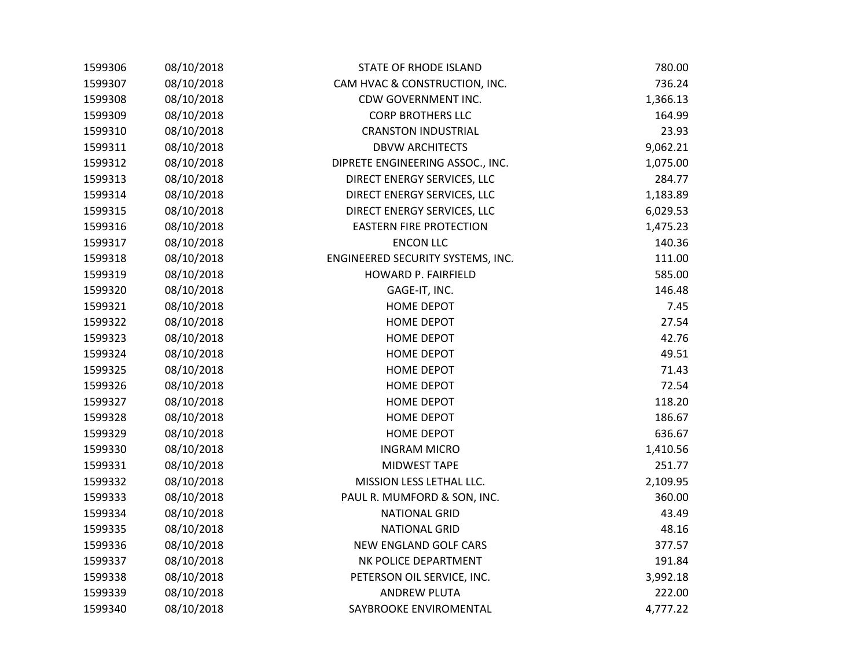| 1599306 | 08/10/2018 | STATE OF RHODE ISLAND             | 780.00   |
|---------|------------|-----------------------------------|----------|
| 1599307 | 08/10/2018 | CAM HVAC & CONSTRUCTION, INC.     | 736.24   |
| 1599308 | 08/10/2018 | CDW GOVERNMENT INC.               | 1,366.13 |
| 1599309 | 08/10/2018 | <b>CORP BROTHERS LLC</b>          | 164.99   |
| 1599310 | 08/10/2018 | <b>CRANSTON INDUSTRIAL</b>        | 23.93    |
| 1599311 | 08/10/2018 | <b>DBVW ARCHITECTS</b>            | 9,062.21 |
| 1599312 | 08/10/2018 | DIPRETE ENGINEERING ASSOC., INC.  | 1,075.00 |
| 1599313 | 08/10/2018 | DIRECT ENERGY SERVICES, LLC       | 284.77   |
| 1599314 | 08/10/2018 | DIRECT ENERGY SERVICES, LLC       | 1,183.89 |
| 1599315 | 08/10/2018 | DIRECT ENERGY SERVICES, LLC       | 6,029.53 |
| 1599316 | 08/10/2018 | <b>EASTERN FIRE PROTECTION</b>    | 1,475.23 |
| 1599317 | 08/10/2018 | <b>ENCON LLC</b>                  | 140.36   |
| 1599318 | 08/10/2018 | ENGINEERED SECURITY SYSTEMS, INC. | 111.00   |
| 1599319 | 08/10/2018 | HOWARD P. FAIRFIELD               | 585.00   |
| 1599320 | 08/10/2018 | GAGE-IT, INC.                     | 146.48   |
| 1599321 | 08/10/2018 | <b>HOME DEPOT</b>                 | 7.45     |
| 1599322 | 08/10/2018 | <b>HOME DEPOT</b>                 | 27.54    |
| 1599323 | 08/10/2018 | HOME DEPOT                        | 42.76    |
| 1599324 | 08/10/2018 | <b>HOME DEPOT</b>                 | 49.51    |
| 1599325 | 08/10/2018 | <b>HOME DEPOT</b>                 | 71.43    |
| 1599326 | 08/10/2018 | <b>HOME DEPOT</b>                 | 72.54    |
| 1599327 | 08/10/2018 | <b>HOME DEPOT</b>                 | 118.20   |
| 1599328 | 08/10/2018 | <b>HOME DEPOT</b>                 | 186.67   |
| 1599329 | 08/10/2018 | HOME DEPOT                        | 636.67   |
| 1599330 | 08/10/2018 | <b>INGRAM MICRO</b>               | 1,410.56 |
| 1599331 | 08/10/2018 | MIDWEST TAPE                      | 251.77   |
| 1599332 | 08/10/2018 | MISSION LESS LETHAL LLC.          | 2,109.95 |
| 1599333 | 08/10/2018 | PAUL R. MUMFORD & SON, INC.       | 360.00   |
| 1599334 | 08/10/2018 | <b>NATIONAL GRID</b>              | 43.49    |
| 1599335 | 08/10/2018 | <b>NATIONAL GRID</b>              | 48.16    |
| 1599336 | 08/10/2018 | NEW ENGLAND GOLF CARS             | 377.57   |
| 1599337 | 08/10/2018 | NK POLICE DEPARTMENT              | 191.84   |
| 1599338 | 08/10/2018 | PETERSON OIL SERVICE, INC.        | 3,992.18 |
| 1599339 | 08/10/2018 | <b>ANDREW PLUTA</b>               | 222.00   |
| 1599340 | 08/10/2018 | SAYBROOKE ENVIROMENTAL            | 4,777.22 |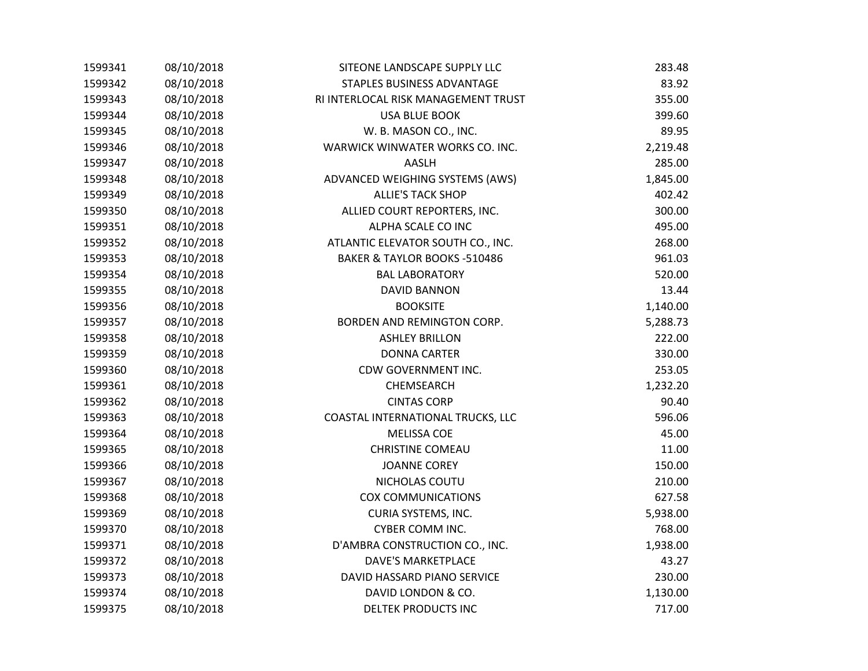| 1599341 | 08/10/2018 | SITEONE LANDSCAPE SUPPLY LLC        | 283.48   |
|---------|------------|-------------------------------------|----------|
| 1599342 | 08/10/2018 | STAPLES BUSINESS ADVANTAGE          | 83.92    |
| 1599343 | 08/10/2018 | RI INTERLOCAL RISK MANAGEMENT TRUST | 355.00   |
| 1599344 | 08/10/2018 | <b>USA BLUE BOOK</b>                | 399.60   |
| 1599345 | 08/10/2018 | W. B. MASON CO., INC.               | 89.95    |
| 1599346 | 08/10/2018 | WARWICK WINWATER WORKS CO. INC.     | 2,219.48 |
| 1599347 | 08/10/2018 | AASLH                               | 285.00   |
| 1599348 | 08/10/2018 | ADVANCED WEIGHING SYSTEMS (AWS)     | 1,845.00 |
| 1599349 | 08/10/2018 | <b>ALLIE'S TACK SHOP</b>            | 402.42   |
| 1599350 | 08/10/2018 | ALLIED COURT REPORTERS, INC.        | 300.00   |
| 1599351 | 08/10/2018 | ALPHA SCALE CO INC                  | 495.00   |
| 1599352 | 08/10/2018 | ATLANTIC ELEVATOR SOUTH CO., INC.   | 268.00   |
| 1599353 | 08/10/2018 | BAKER & TAYLOR BOOKS -510486        | 961.03   |
| 1599354 | 08/10/2018 | <b>BAL LABORATORY</b>               | 520.00   |
| 1599355 | 08/10/2018 | <b>DAVID BANNON</b>                 | 13.44    |
| 1599356 | 08/10/2018 | <b>BOOKSITE</b>                     | 1,140.00 |
| 1599357 | 08/10/2018 | BORDEN AND REMINGTON CORP.          | 5,288.73 |
| 1599358 | 08/10/2018 | <b>ASHLEY BRILLON</b>               | 222.00   |
| 1599359 | 08/10/2018 | <b>DONNA CARTER</b>                 | 330.00   |
| 1599360 | 08/10/2018 | CDW GOVERNMENT INC.                 | 253.05   |
| 1599361 | 08/10/2018 | CHEMSEARCH                          | 1,232.20 |
| 1599362 | 08/10/2018 | <b>CINTAS CORP</b>                  | 90.40    |
| 1599363 | 08/10/2018 | COASTAL INTERNATIONAL TRUCKS, LLC   | 596.06   |
| 1599364 | 08/10/2018 | <b>MELISSA COE</b>                  | 45.00    |
| 1599365 | 08/10/2018 | <b>CHRISTINE COMEAU</b>             | 11.00    |
| 1599366 | 08/10/2018 | <b>JOANNE COREY</b>                 | 150.00   |
| 1599367 | 08/10/2018 | NICHOLAS COUTU                      | 210.00   |
| 1599368 | 08/10/2018 | <b>COX COMMUNICATIONS</b>           | 627.58   |
| 1599369 | 08/10/2018 | <b>CURIA SYSTEMS, INC.</b>          | 5,938.00 |
| 1599370 | 08/10/2018 | CYBER COMM INC.                     | 768.00   |
| 1599371 | 08/10/2018 | D'AMBRA CONSTRUCTION CO., INC.      | 1,938.00 |
| 1599372 | 08/10/2018 | <b>DAVE'S MARKETPLACE</b>           | 43.27    |
| 1599373 | 08/10/2018 | DAVID HASSARD PIANO SERVICE         | 230.00   |
| 1599374 | 08/10/2018 | DAVID LONDON & CO.                  | 1,130.00 |
| 1599375 | 08/10/2018 | <b>DELTEK PRODUCTS INC</b>          | 717.00   |
|         |            |                                     |          |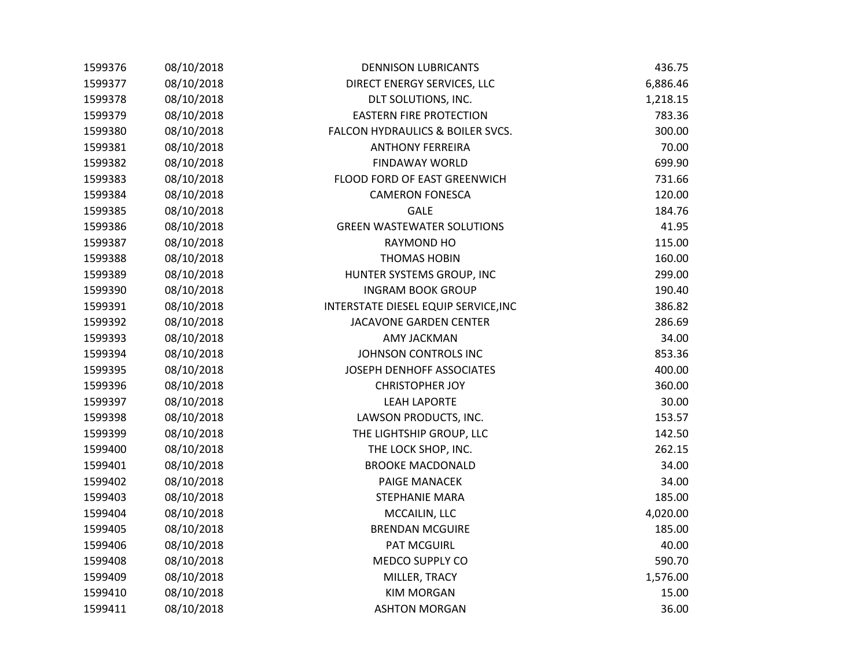| 1599376 | 08/10/2018 | <b>DENNISON LUBRICANTS</b>           | 436.75   |
|---------|------------|--------------------------------------|----------|
| 1599377 | 08/10/2018 | DIRECT ENERGY SERVICES, LLC          | 6,886.46 |
| 1599378 | 08/10/2018 | DLT SOLUTIONS, INC.                  | 1,218.15 |
| 1599379 | 08/10/2018 | <b>EASTERN FIRE PROTECTION</b>       | 783.36   |
| 1599380 | 08/10/2018 | FALCON HYDRAULICS & BOILER SVCS.     | 300.00   |
| 1599381 | 08/10/2018 | <b>ANTHONY FERREIRA</b>              | 70.00    |
| 1599382 | 08/10/2018 | <b>FINDAWAY WORLD</b>                | 699.90   |
| 1599383 | 08/10/2018 | FLOOD FORD OF EAST GREENWICH         | 731.66   |
| 1599384 | 08/10/2018 | <b>CAMERON FONESCA</b>               | 120.00   |
| 1599385 | 08/10/2018 | <b>GALE</b>                          | 184.76   |
| 1599386 | 08/10/2018 | <b>GREEN WASTEWATER SOLUTIONS</b>    | 41.95    |
| 1599387 | 08/10/2018 | RAYMOND HO                           | 115.00   |
| 1599388 | 08/10/2018 | <b>THOMAS HOBIN</b>                  | 160.00   |
| 1599389 | 08/10/2018 | HUNTER SYSTEMS GROUP, INC            | 299.00   |
| 1599390 | 08/10/2018 | <b>INGRAM BOOK GROUP</b>             | 190.40   |
| 1599391 | 08/10/2018 | INTERSTATE DIESEL EQUIP SERVICE, INC | 386.82   |
| 1599392 | 08/10/2018 | JACAVONE GARDEN CENTER               | 286.69   |
| 1599393 | 08/10/2018 | <b>AMY JACKMAN</b>                   | 34.00    |
| 1599394 | 08/10/2018 | JOHNSON CONTROLS INC                 | 853.36   |
| 1599395 | 08/10/2018 | JOSEPH DENHOFF ASSOCIATES            | 400.00   |
| 1599396 | 08/10/2018 | <b>CHRISTOPHER JOY</b>               | 360.00   |
| 1599397 | 08/10/2018 | <b>LEAH LAPORTE</b>                  | 30.00    |
| 1599398 | 08/10/2018 | LAWSON PRODUCTS, INC.                | 153.57   |
| 1599399 | 08/10/2018 | THE LIGHTSHIP GROUP, LLC             | 142.50   |
| 1599400 | 08/10/2018 | THE LOCK SHOP, INC.                  | 262.15   |
| 1599401 | 08/10/2018 | <b>BROOKE MACDONALD</b>              | 34.00    |
| 1599402 | 08/10/2018 | PAIGE MANACEK                        | 34.00    |
| 1599403 | 08/10/2018 | <b>STEPHANIE MARA</b>                | 185.00   |
| 1599404 | 08/10/2018 | MCCAILIN, LLC                        | 4,020.00 |
| 1599405 | 08/10/2018 | <b>BRENDAN MCGUIRE</b>               | 185.00   |
| 1599406 | 08/10/2018 | <b>PAT MCGUIRL</b>                   | 40.00    |
| 1599408 | 08/10/2018 | MEDCO SUPPLY CO                      | 590.70   |
| 1599409 | 08/10/2018 | MILLER, TRACY                        | 1,576.00 |
| 1599410 | 08/10/2018 | <b>KIM MORGAN</b>                    | 15.00    |
| 1599411 | 08/10/2018 | <b>ASHTON MORGAN</b>                 | 36.00    |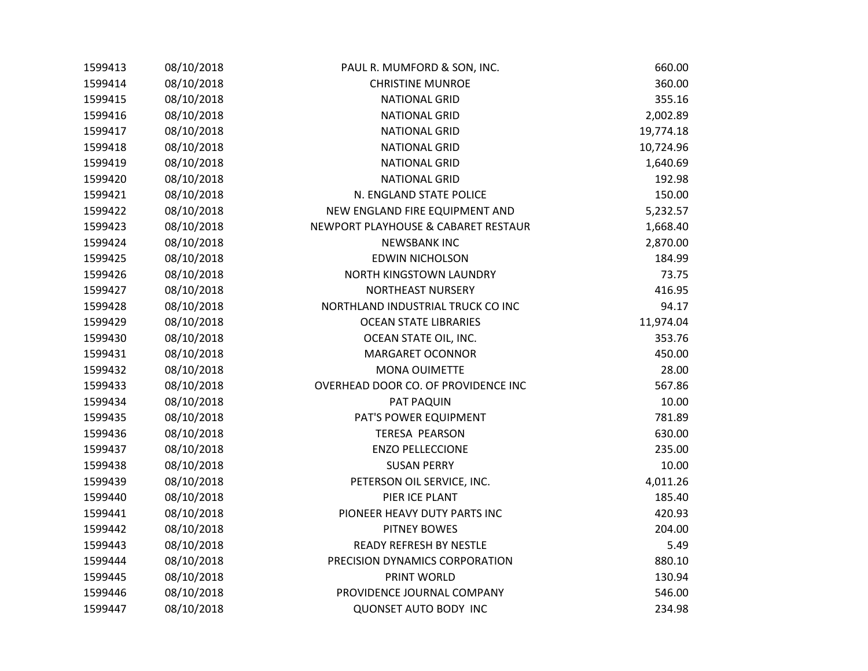| 1599413 | 08/10/2018 | PAUL R. MUMFORD & SON, INC.         | 660.00    |
|---------|------------|-------------------------------------|-----------|
| 1599414 | 08/10/2018 | <b>CHRISTINE MUNROE</b>             | 360.00    |
| 1599415 | 08/10/2018 | <b>NATIONAL GRID</b>                | 355.16    |
| 1599416 | 08/10/2018 | <b>NATIONAL GRID</b>                | 2,002.89  |
| 1599417 | 08/10/2018 | <b>NATIONAL GRID</b>                | 19,774.18 |
| 1599418 | 08/10/2018 | <b>NATIONAL GRID</b>                | 10,724.96 |
| 1599419 | 08/10/2018 | <b>NATIONAL GRID</b>                | 1,640.69  |
| 1599420 | 08/10/2018 | <b>NATIONAL GRID</b>                | 192.98    |
| 1599421 | 08/10/2018 | N. ENGLAND STATE POLICE             | 150.00    |
| 1599422 | 08/10/2018 | NEW ENGLAND FIRE EQUIPMENT AND      | 5,232.57  |
| 1599423 | 08/10/2018 | NEWPORT PLAYHOUSE & CABARET RESTAUR | 1,668.40  |
| 1599424 | 08/10/2018 | <b>NEWSBANK INC</b>                 | 2,870.00  |
| 1599425 | 08/10/2018 | <b>EDWIN NICHOLSON</b>              | 184.99    |
| 1599426 | 08/10/2018 | NORTH KINGSTOWN LAUNDRY             | 73.75     |
| 1599427 | 08/10/2018 | NORTHEAST NURSERY                   | 416.95    |
| 1599428 | 08/10/2018 | NORTHLAND INDUSTRIAL TRUCK CO INC   | 94.17     |
| 1599429 | 08/10/2018 | <b>OCEAN STATE LIBRARIES</b>        | 11,974.04 |
| 1599430 | 08/10/2018 | OCEAN STATE OIL, INC.               | 353.76    |
| 1599431 | 08/10/2018 | <b>MARGARET OCONNOR</b>             | 450.00    |
| 1599432 | 08/10/2018 | <b>MONA OUIMETTE</b>                | 28.00     |
| 1599433 | 08/10/2018 | OVERHEAD DOOR CO. OF PROVIDENCE INC | 567.86    |
| 1599434 | 08/10/2018 | PAT PAQUIN                          | 10.00     |
| 1599435 | 08/10/2018 | PAT'S POWER EQUIPMENT               | 781.89    |
| 1599436 | 08/10/2018 | <b>TERESA PEARSON</b>               | 630.00    |
| 1599437 | 08/10/2018 | <b>ENZO PELLECCIONE</b>             | 235.00    |
| 1599438 | 08/10/2018 | <b>SUSAN PERRY</b>                  | 10.00     |
| 1599439 | 08/10/2018 | PETERSON OIL SERVICE, INC.          | 4,011.26  |
| 1599440 | 08/10/2018 | PIER ICE PLANT                      | 185.40    |
| 1599441 | 08/10/2018 | PIONEER HEAVY DUTY PARTS INC        | 420.93    |
| 1599442 | 08/10/2018 | <b>PITNEY BOWES</b>                 | 204.00    |
| 1599443 | 08/10/2018 | <b>READY REFRESH BY NESTLE</b>      | 5.49      |
| 1599444 | 08/10/2018 | PRECISION DYNAMICS CORPORATION      | 880.10    |
| 1599445 | 08/10/2018 | PRINT WORLD                         | 130.94    |
| 1599446 | 08/10/2018 | PROVIDENCE JOURNAL COMPANY          | 546.00    |
| 1599447 | 08/10/2018 | <b>QUONSET AUTO BODY INC</b>        | 234.98    |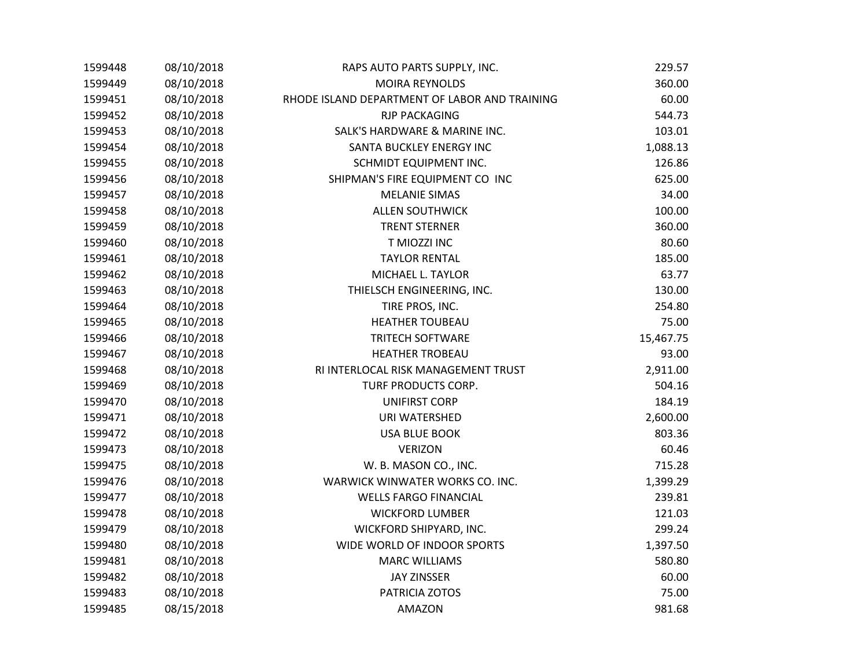|         | 08/10/2018 | RAPS AUTO PARTS SUPPLY, INC.                  | 229.57    |
|---------|------------|-----------------------------------------------|-----------|
| 1599449 | 08/10/2018 | <b>MOIRA REYNOLDS</b>                         | 360.00    |
| 1599451 | 08/10/2018 | RHODE ISLAND DEPARTMENT OF LABOR AND TRAINING | 60.00     |
| 1599452 | 08/10/2018 | <b>RJP PACKAGING</b>                          | 544.73    |
| 1599453 | 08/10/2018 | SALK'S HARDWARE & MARINE INC.                 | 103.01    |
| 1599454 | 08/10/2018 | SANTA BUCKLEY ENERGY INC                      | 1,088.13  |
| 1599455 | 08/10/2018 | SCHMIDT EQUIPMENT INC.                        | 126.86    |
| 1599456 | 08/10/2018 | SHIPMAN'S FIRE EQUIPMENT CO INC               | 625.00    |
| 1599457 | 08/10/2018 | <b>MELANIE SIMAS</b>                          | 34.00     |
| 1599458 | 08/10/2018 | <b>ALLEN SOUTHWICK</b>                        | 100.00    |
| 1599459 | 08/10/2018 | <b>TRENT STERNER</b>                          | 360.00    |
| 1599460 | 08/10/2018 | T MIOZZI INC                                  | 80.60     |
| 1599461 | 08/10/2018 | <b>TAYLOR RENTAL</b>                          | 185.00    |
| 1599462 | 08/10/2018 | MICHAEL L. TAYLOR                             | 63.77     |
| 1599463 | 08/10/2018 | THIELSCH ENGINEERING, INC.                    | 130.00    |
| 1599464 | 08/10/2018 | TIRE PROS, INC.                               | 254.80    |
| 1599465 | 08/10/2018 | <b>HEATHER TOUBEAU</b>                        | 75.00     |
| 1599466 | 08/10/2018 | <b>TRITECH SOFTWARE</b>                       | 15,467.75 |
| 1599467 | 08/10/2018 | <b>HEATHER TROBEAU</b>                        | 93.00     |
| 1599468 | 08/10/2018 | RI INTERLOCAL RISK MANAGEMENT TRUST           | 2,911.00  |
| 1599469 | 08/10/2018 | TURF PRODUCTS CORP.                           | 504.16    |
| 1599470 | 08/10/2018 | <b>UNIFIRST CORP</b>                          | 184.19    |
| 1599471 | 08/10/2018 | URI WATERSHED                                 | 2,600.00  |
| 1599472 | 08/10/2018 | <b>USA BLUE BOOK</b>                          | 803.36    |
| 1599473 | 08/10/2018 | <b>VERIZON</b>                                | 60.46     |
| 1599475 | 08/10/2018 | W. B. MASON CO., INC.                         | 715.28    |
| 1599476 | 08/10/2018 | WARWICK WINWATER WORKS CO. INC.               | 1,399.29  |
| 1599477 | 08/10/2018 | <b>WELLS FARGO FINANCIAL</b>                  | 239.81    |
| 1599478 | 08/10/2018 | <b>WICKFORD LUMBER</b>                        | 121.03    |
| 1599479 | 08/10/2018 | WICKFORD SHIPYARD, INC.                       | 299.24    |
| 1599480 | 08/10/2018 | WIDE WORLD OF INDOOR SPORTS                   | 1,397.50  |
| 1599481 | 08/10/2018 | <b>MARC WILLIAMS</b>                          | 580.80    |
| 1599482 | 08/10/2018 | <b>JAY ZINSSER</b>                            | 60.00     |
| 1599483 | 08/10/2018 | PATRICIA ZOTOS                                | 75.00     |
| 1599485 | 08/15/2018 | <b>AMAZON</b>                                 | 981.68    |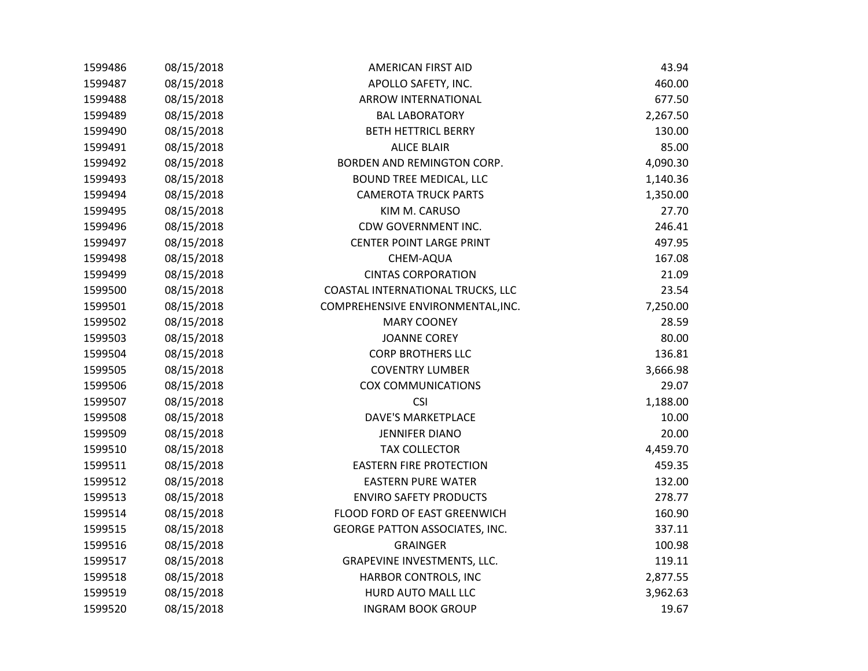| 1599486 | 08/15/2018 | <b>AMERICAN FIRST AID</b>             | 43.94    |
|---------|------------|---------------------------------------|----------|
| 1599487 | 08/15/2018 | APOLLO SAFETY, INC.                   | 460.00   |
| 1599488 | 08/15/2018 | ARROW INTERNATIONAL                   | 677.50   |
| 1599489 | 08/15/2018 | <b>BAL LABORATORY</b>                 | 2,267.50 |
| 1599490 | 08/15/2018 | <b>BETH HETTRICL BERRY</b>            | 130.00   |
| 1599491 | 08/15/2018 | <b>ALICE BLAIR</b>                    | 85.00    |
| 1599492 | 08/15/2018 | BORDEN AND REMINGTON CORP.            | 4,090.30 |
| 1599493 | 08/15/2018 | <b>BOUND TREE MEDICAL, LLC</b>        | 1,140.36 |
| 1599494 | 08/15/2018 | <b>CAMEROTA TRUCK PARTS</b>           | 1,350.00 |
| 1599495 | 08/15/2018 | KIM M. CARUSO                         | 27.70    |
| 1599496 | 08/15/2018 | CDW GOVERNMENT INC.                   | 246.41   |
| 1599497 | 08/15/2018 | <b>CENTER POINT LARGE PRINT</b>       | 497.95   |
| 1599498 | 08/15/2018 | CHEM-AQUA                             | 167.08   |
| 1599499 | 08/15/2018 | <b>CINTAS CORPORATION</b>             | 21.09    |
| 1599500 | 08/15/2018 | COASTAL INTERNATIONAL TRUCKS, LLC     | 23.54    |
| 1599501 | 08/15/2018 | COMPREHENSIVE ENVIRONMENTAL, INC.     | 7,250.00 |
| 1599502 | 08/15/2018 | <b>MARY COONEY</b>                    | 28.59    |
| 1599503 | 08/15/2018 | <b>JOANNE COREY</b>                   | 80.00    |
| 1599504 | 08/15/2018 | <b>CORP BROTHERS LLC</b>              | 136.81   |
| 1599505 | 08/15/2018 | <b>COVENTRY LUMBER</b>                | 3,666.98 |
| 1599506 | 08/15/2018 | <b>COX COMMUNICATIONS</b>             | 29.07    |
| 1599507 | 08/15/2018 | <b>CSI</b>                            | 1,188.00 |
| 1599508 | 08/15/2018 | <b>DAVE'S MARKETPLACE</b>             | 10.00    |
| 1599509 | 08/15/2018 | <b>JENNIFER DIANO</b>                 | 20.00    |
| 1599510 | 08/15/2018 | <b>TAX COLLECTOR</b>                  | 4,459.70 |
| 1599511 | 08/15/2018 | <b>EASTERN FIRE PROTECTION</b>        | 459.35   |
| 1599512 | 08/15/2018 | <b>EASTERN PURE WATER</b>             | 132.00   |
| 1599513 | 08/15/2018 | <b>ENVIRO SAFETY PRODUCTS</b>         | 278.77   |
| 1599514 | 08/15/2018 | FLOOD FORD OF EAST GREENWICH          | 160.90   |
| 1599515 | 08/15/2018 | <b>GEORGE PATTON ASSOCIATES, INC.</b> | 337.11   |
| 1599516 | 08/15/2018 | <b>GRAINGER</b>                       | 100.98   |
| 1599517 | 08/15/2018 | GRAPEVINE INVESTMENTS, LLC.           | 119.11   |
| 1599518 | 08/15/2018 | HARBOR CONTROLS, INC                  | 2,877.55 |
| 1599519 | 08/15/2018 | HURD AUTO MALL LLC                    | 3,962.63 |
| 1599520 | 08/15/2018 | <b>INGRAM BOOK GROUP</b>              | 19.67    |
|         |            |                                       |          |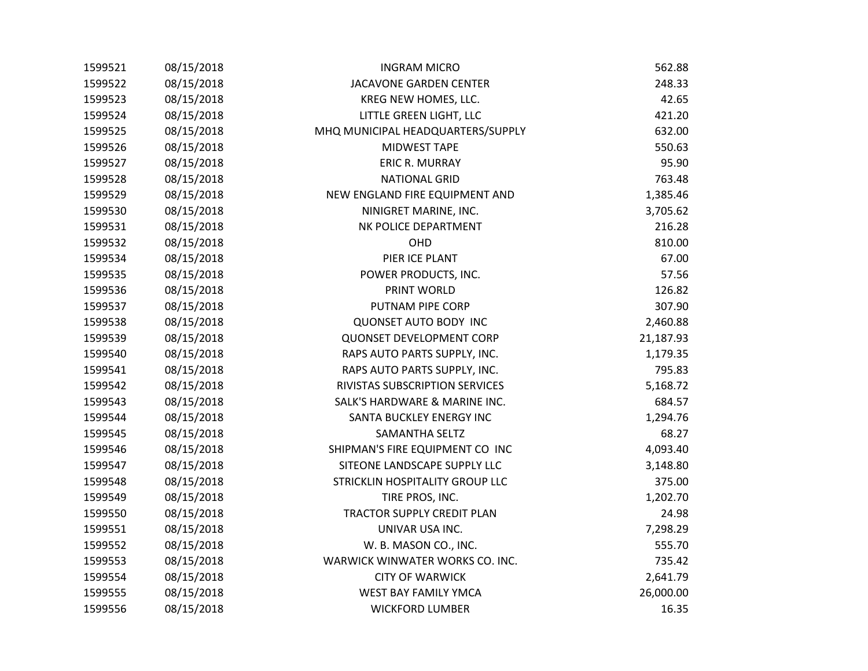| 1599521 | 08/15/2018 | <b>INGRAM MICRO</b>               | 562.88    |
|---------|------------|-----------------------------------|-----------|
| 1599522 | 08/15/2018 | JACAVONE GARDEN CENTER            | 248.33    |
| 1599523 | 08/15/2018 | KREG NEW HOMES, LLC.              | 42.65     |
| 1599524 | 08/15/2018 | LITTLE GREEN LIGHT, LLC           | 421.20    |
| 1599525 | 08/15/2018 | MHQ MUNICIPAL HEADQUARTERS/SUPPLY | 632.00    |
| 1599526 | 08/15/2018 | MIDWEST TAPE                      | 550.63    |
| 1599527 | 08/15/2018 | ERIC R. MURRAY                    | 95.90     |
| 1599528 | 08/15/2018 | <b>NATIONAL GRID</b>              | 763.48    |
| 1599529 | 08/15/2018 | NEW ENGLAND FIRE EQUIPMENT AND    | 1,385.46  |
| 1599530 | 08/15/2018 | NINIGRET MARINE, INC.             | 3,705.62  |
| 1599531 | 08/15/2018 | NK POLICE DEPARTMENT              | 216.28    |
| 1599532 | 08/15/2018 | OHD                               | 810.00    |
| 1599534 | 08/15/2018 | PIER ICE PLANT                    | 67.00     |
| 1599535 | 08/15/2018 | POWER PRODUCTS, INC.              | 57.56     |
| 1599536 | 08/15/2018 | PRINT WORLD                       | 126.82    |
| 1599537 | 08/15/2018 | PUTNAM PIPE CORP                  | 307.90    |
| 1599538 | 08/15/2018 | <b>QUONSET AUTO BODY INC</b>      | 2,460.88  |
| 1599539 | 08/15/2018 | QUONSET DEVELOPMENT CORP          | 21,187.93 |
| 1599540 | 08/15/2018 | RAPS AUTO PARTS SUPPLY, INC.      | 1,179.35  |
| 1599541 | 08/15/2018 | RAPS AUTO PARTS SUPPLY, INC.      | 795.83    |
| 1599542 | 08/15/2018 | RIVISTAS SUBSCRIPTION SERVICES    | 5,168.72  |
| 1599543 | 08/15/2018 | SALK'S HARDWARE & MARINE INC.     | 684.57    |
| 1599544 | 08/15/2018 | SANTA BUCKLEY ENERGY INC          | 1,294.76  |
| 1599545 | 08/15/2018 | SAMANTHA SELTZ                    | 68.27     |
| 1599546 | 08/15/2018 | SHIPMAN'S FIRE EQUIPMENT CO INC   | 4,093.40  |
| 1599547 | 08/15/2018 | SITEONE LANDSCAPE SUPPLY LLC      | 3,148.80  |
| 1599548 | 08/15/2018 | STRICKLIN HOSPITALITY GROUP LLC   | 375.00    |
| 1599549 | 08/15/2018 | TIRE PROS, INC.                   | 1,202.70  |
| 1599550 | 08/15/2018 | TRACTOR SUPPLY CREDIT PLAN        | 24.98     |
| 1599551 | 08/15/2018 | UNIVAR USA INC.                   | 7,298.29  |
| 1599552 | 08/15/2018 | W. B. MASON CO., INC.             | 555.70    |
| 1599553 | 08/15/2018 | WARWICK WINWATER WORKS CO. INC.   | 735.42    |
| 1599554 | 08/15/2018 | <b>CITY OF WARWICK</b>            | 2,641.79  |
| 1599555 | 08/15/2018 | <b>WEST BAY FAMILY YMCA</b>       | 26,000.00 |
| 1599556 | 08/15/2018 | <b>WICKFORD LUMBER</b>            | 16.35     |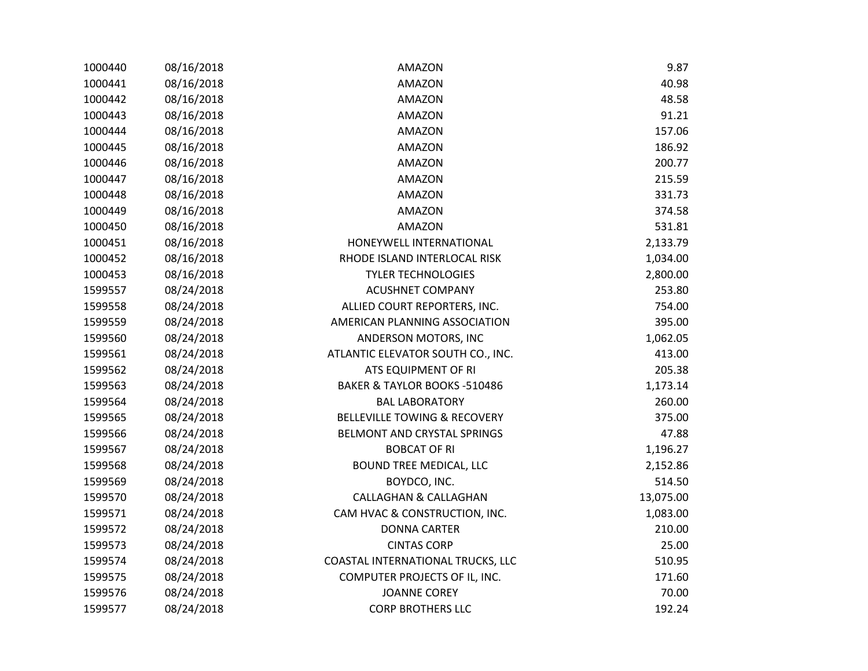| 08/16/2018 | <b>AMAZON</b>                           | 9.87      |
|------------|-----------------------------------------|-----------|
| 08/16/2018 | <b>AMAZON</b>                           | 40.98     |
| 08/16/2018 | <b>AMAZON</b>                           | 48.58     |
| 08/16/2018 | <b>AMAZON</b>                           | 91.21     |
| 08/16/2018 | AMAZON                                  | 157.06    |
| 08/16/2018 | AMAZON                                  | 186.92    |
| 08/16/2018 | <b>AMAZON</b>                           | 200.77    |
| 08/16/2018 | AMAZON                                  | 215.59    |
| 08/16/2018 | <b>AMAZON</b>                           | 331.73    |
| 08/16/2018 | <b>AMAZON</b>                           | 374.58    |
| 08/16/2018 | <b>AMAZON</b>                           | 531.81    |
| 08/16/2018 | HONEYWELL INTERNATIONAL                 | 2,133.79  |
| 08/16/2018 | RHODE ISLAND INTERLOCAL RISK            | 1,034.00  |
| 08/16/2018 | <b>TYLER TECHNOLOGIES</b>               | 2,800.00  |
| 08/24/2018 | <b>ACUSHNET COMPANY</b>                 | 253.80    |
| 08/24/2018 | ALLIED COURT REPORTERS, INC.            | 754.00    |
| 08/24/2018 | AMERICAN PLANNING ASSOCIATION           | 395.00    |
| 08/24/2018 | ANDERSON MOTORS, INC                    | 1,062.05  |
| 08/24/2018 | ATLANTIC ELEVATOR SOUTH CO., INC.       | 413.00    |
| 08/24/2018 | ATS EQUIPMENT OF RI                     | 205.38    |
| 08/24/2018 | BAKER & TAYLOR BOOKS -510486            | 1,173.14  |
| 08/24/2018 | <b>BAL LABORATORY</b>                   | 260.00    |
| 08/24/2018 | <b>BELLEVILLE TOWING &amp; RECOVERY</b> | 375.00    |
| 08/24/2018 | BELMONT AND CRYSTAL SPRINGS             | 47.88     |
| 08/24/2018 | <b>BOBCAT OF RI</b>                     | 1,196.27  |
| 08/24/2018 | <b>BOUND TREE MEDICAL, LLC</b>          | 2,152.86  |
| 08/24/2018 | BOYDCO, INC.                            | 514.50    |
| 08/24/2018 | <b>CALLAGHAN &amp; CALLAGHAN</b>        | 13,075.00 |
| 08/24/2018 | CAM HVAC & CONSTRUCTION, INC.           | 1,083.00  |
| 08/24/2018 | <b>DONNA CARTER</b>                     | 210.00    |
| 08/24/2018 | <b>CINTAS CORP</b>                      | 25.00     |
| 08/24/2018 | COASTAL INTERNATIONAL TRUCKS, LLC       | 510.95    |
| 08/24/2018 | COMPUTER PROJECTS OF IL, INC.           | 171.60    |
| 08/24/2018 | <b>JOANNE COREY</b>                     | 70.00     |
| 08/24/2018 | <b>CORP BROTHERS LLC</b>                | 192.24    |
|            |                                         |           |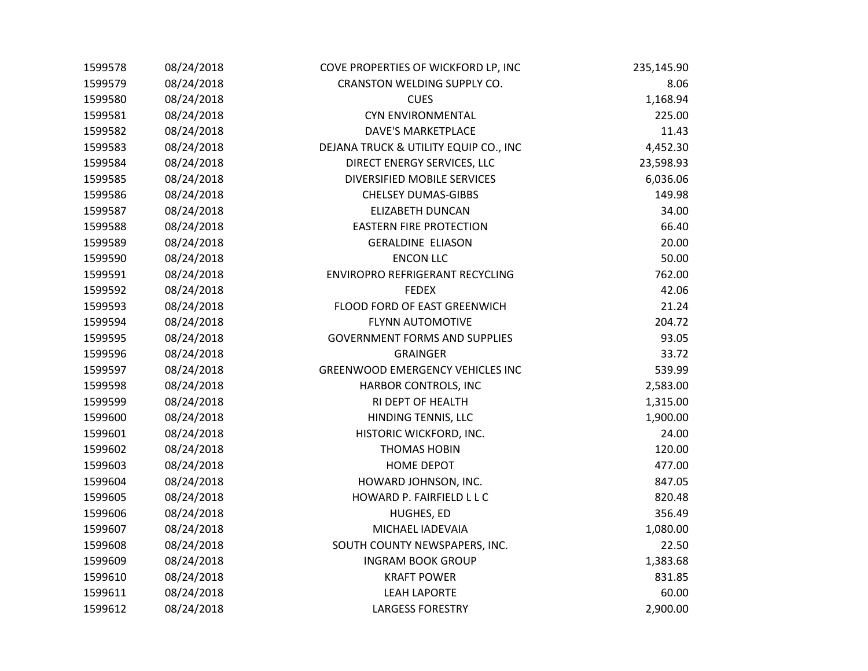| 1599578 | 08/24/2018 | COVE PROPERTIES OF WICKFORD LP, INC     | 235,145.90 |
|---------|------------|-----------------------------------------|------------|
| 1599579 | 08/24/2018 | CRANSTON WELDING SUPPLY CO.             | 8.06       |
| 1599580 | 08/24/2018 | <b>CUES</b>                             | 1,168.94   |
| 1599581 | 08/24/2018 | <b>CYN ENVIRONMENTAL</b>                | 225.00     |
| 1599582 | 08/24/2018 | <b>DAVE'S MARKETPLACE</b>               | 11.43      |
| 1599583 | 08/24/2018 | DEJANA TRUCK & UTILITY EQUIP CO., INC   | 4,452.30   |
| 1599584 | 08/24/2018 | DIRECT ENERGY SERVICES, LLC             | 23,598.93  |
| 1599585 | 08/24/2018 | DIVERSIFIED MOBILE SERVICES             | 6,036.06   |
| 1599586 | 08/24/2018 | <b>CHELSEY DUMAS-GIBBS</b>              | 149.98     |
| 1599587 | 08/24/2018 | <b>ELIZABETH DUNCAN</b>                 | 34.00      |
| 1599588 | 08/24/2018 | <b>EASTERN FIRE PROTECTION</b>          | 66.40      |
| 1599589 | 08/24/2018 | <b>GERALDINE ELIASON</b>                | 20.00      |
| 1599590 | 08/24/2018 | <b>ENCON LLC</b>                        | 50.00      |
| 1599591 | 08/24/2018 | ENVIROPRO REFRIGERANT RECYCLING         | 762.00     |
| 1599592 | 08/24/2018 | <b>FEDEX</b>                            | 42.06      |
| 1599593 | 08/24/2018 | FLOOD FORD OF EAST GREENWICH            | 21.24      |
| 1599594 | 08/24/2018 | <b>FLYNN AUTOMOTIVE</b>                 | 204.72     |
| 1599595 | 08/24/2018 | <b>GOVERNMENT FORMS AND SUPPLIES</b>    | 93.05      |
| 1599596 | 08/24/2018 | <b>GRAINGER</b>                         | 33.72      |
| 1599597 | 08/24/2018 | <b>GREENWOOD EMERGENCY VEHICLES INC</b> | 539.99     |
| 1599598 | 08/24/2018 | HARBOR CONTROLS, INC                    | 2,583.00   |
| 1599599 | 08/24/2018 | RI DEPT OF HEALTH                       | 1,315.00   |
| 1599600 | 08/24/2018 | HINDING TENNIS, LLC                     | 1,900.00   |
| 1599601 | 08/24/2018 | HISTORIC WICKFORD, INC.                 | 24.00      |
| 1599602 | 08/24/2018 | <b>THOMAS HOBIN</b>                     | 120.00     |
| 1599603 | 08/24/2018 | <b>HOME DEPOT</b>                       | 477.00     |
| 1599604 | 08/24/2018 | HOWARD JOHNSON, INC.                    | 847.05     |
| 1599605 | 08/24/2018 | HOWARD P. FAIRFIELD L L C               | 820.48     |
| 1599606 | 08/24/2018 | HUGHES, ED                              | 356.49     |
| 1599607 | 08/24/2018 | MICHAEL IADEVAIA                        | 1,080.00   |
| 1599608 | 08/24/2018 | SOUTH COUNTY NEWSPAPERS, INC.           | 22.50      |
| 1599609 | 08/24/2018 | <b>INGRAM BOOK GROUP</b>                | 1,383.68   |
| 1599610 | 08/24/2018 | <b>KRAFT POWER</b>                      | 831.85     |
| 1599611 | 08/24/2018 | <b>LEAH LAPORTE</b>                     | 60.00      |
| 1599612 | 08/24/2018 | <b>LARGESS FORESTRY</b>                 | 2,900.00   |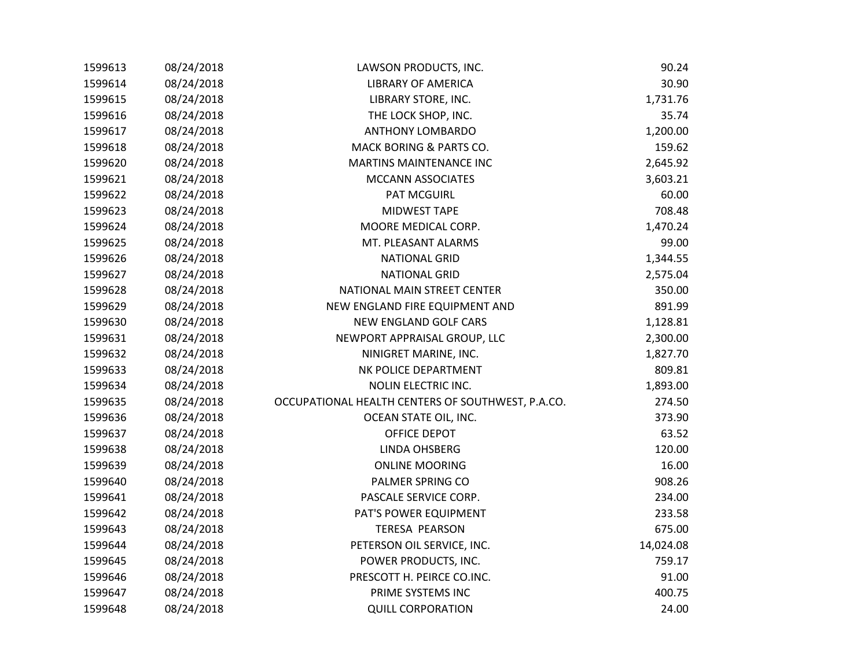| 1599613 | 08/24/2018 | LAWSON PRODUCTS, INC.                             | 90.24     |
|---------|------------|---------------------------------------------------|-----------|
| 1599614 | 08/24/2018 | <b>LIBRARY OF AMERICA</b>                         | 30.90     |
| 1599615 | 08/24/2018 | LIBRARY STORE, INC.                               | 1,731.76  |
| 1599616 | 08/24/2018 | THE LOCK SHOP, INC.                               | 35.74     |
| 1599617 | 08/24/2018 | <b>ANTHONY LOMBARDO</b>                           | 1,200.00  |
| 1599618 | 08/24/2018 | MACK BORING & PARTS CO.                           | 159.62    |
| 1599620 | 08/24/2018 | <b>MARTINS MAINTENANCE INC</b>                    | 2,645.92  |
| 1599621 | 08/24/2018 | <b>MCCANN ASSOCIATES</b>                          | 3,603.21  |
| 1599622 | 08/24/2018 | PAT MCGUIRL                                       | 60.00     |
| 1599623 | 08/24/2018 | <b>MIDWEST TAPE</b>                               | 708.48    |
| 1599624 | 08/24/2018 | MOORE MEDICAL CORP.                               | 1,470.24  |
| 1599625 | 08/24/2018 | MT. PLEASANT ALARMS                               | 99.00     |
| 1599626 | 08/24/2018 | <b>NATIONAL GRID</b>                              | 1,344.55  |
| 1599627 | 08/24/2018 | <b>NATIONAL GRID</b>                              | 2,575.04  |
| 1599628 | 08/24/2018 | NATIONAL MAIN STREET CENTER                       | 350.00    |
| 1599629 | 08/24/2018 | NEW ENGLAND FIRE EQUIPMENT AND                    | 891.99    |
| 1599630 | 08/24/2018 | NEW ENGLAND GOLF CARS                             | 1,128.81  |
| 1599631 | 08/24/2018 | NEWPORT APPRAISAL GROUP, LLC                      | 2,300.00  |
| 1599632 | 08/24/2018 | NINIGRET MARINE, INC.                             | 1,827.70  |
| 1599633 | 08/24/2018 | NK POLICE DEPARTMENT                              | 809.81    |
| 1599634 | 08/24/2018 | NOLIN ELECTRIC INC.                               | 1,893.00  |
| 1599635 | 08/24/2018 | OCCUPATIONAL HEALTH CENTERS OF SOUTHWEST, P.A.CO. | 274.50    |
| 1599636 | 08/24/2018 | OCEAN STATE OIL, INC.                             | 373.90    |
| 1599637 | 08/24/2018 | OFFICE DEPOT                                      | 63.52     |
| 1599638 | 08/24/2018 | LINDA OHSBERG                                     | 120.00    |
| 1599639 | 08/24/2018 | <b>ONLINE MOORING</b>                             | 16.00     |
| 1599640 | 08/24/2018 | PALMER SPRING CO                                  | 908.26    |
| 1599641 | 08/24/2018 | PASCALE SERVICE CORP.                             | 234.00    |
| 1599642 | 08/24/2018 | PAT'S POWER EQUIPMENT                             | 233.58    |
| 1599643 | 08/24/2018 | <b>TERESA PEARSON</b>                             | 675.00    |
| 1599644 | 08/24/2018 | PETERSON OIL SERVICE, INC.                        | 14,024.08 |
| 1599645 | 08/24/2018 | POWER PRODUCTS, INC.                              | 759.17    |
| 1599646 | 08/24/2018 | PRESCOTT H. PEIRCE CO.INC.                        | 91.00     |
| 1599647 | 08/24/2018 | PRIME SYSTEMS INC                                 | 400.75    |
| 1599648 | 08/24/2018 | <b>QUILL CORPORATION</b>                          | 24.00     |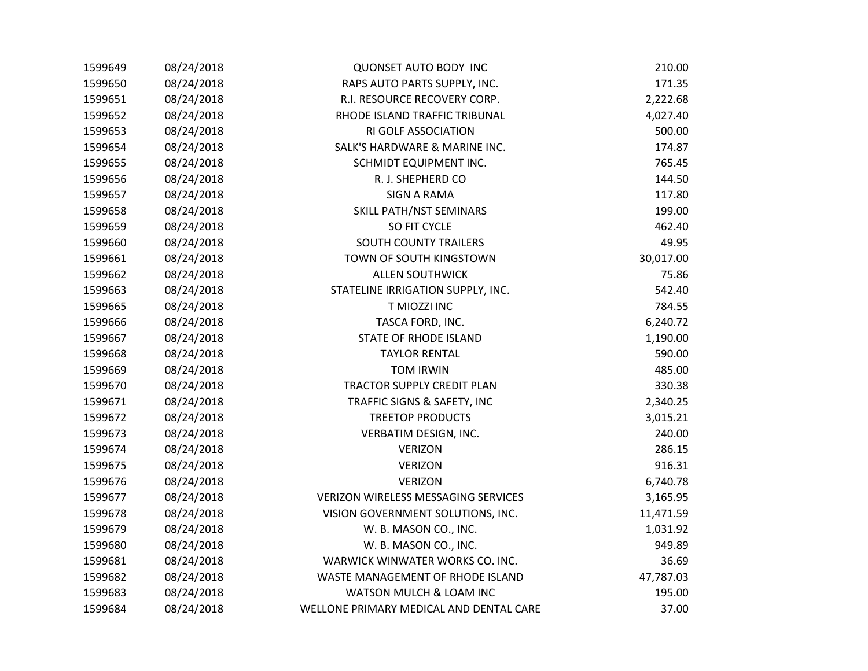| 1599649 | 08/24/2018 | <b>QUONSET AUTO BODY INC</b>               | 210.00    |
|---------|------------|--------------------------------------------|-----------|
| 1599650 | 08/24/2018 | RAPS AUTO PARTS SUPPLY, INC.               | 171.35    |
| 1599651 | 08/24/2018 | R.I. RESOURCE RECOVERY CORP.               | 2,222.68  |
| 1599652 | 08/24/2018 | RHODE ISLAND TRAFFIC TRIBUNAL              | 4,027.40  |
| 1599653 | 08/24/2018 | RI GOLF ASSOCIATION                        | 500.00    |
| 1599654 | 08/24/2018 | SALK'S HARDWARE & MARINE INC.              | 174.87    |
| 1599655 | 08/24/2018 | SCHMIDT EQUIPMENT INC.                     | 765.45    |
| 1599656 | 08/24/2018 | R. J. SHEPHERD CO                          | 144.50    |
| 1599657 | 08/24/2018 | <b>SIGN A RAMA</b>                         | 117.80    |
| 1599658 | 08/24/2018 | SKILL PATH/NST SEMINARS                    | 199.00    |
| 1599659 | 08/24/2018 | SO FIT CYCLE                               | 462.40    |
| 1599660 | 08/24/2018 | SOUTH COUNTY TRAILERS                      | 49.95     |
| 1599661 | 08/24/2018 | TOWN OF SOUTH KINGSTOWN                    | 30,017.00 |
| 1599662 | 08/24/2018 | <b>ALLEN SOUTHWICK</b>                     | 75.86     |
| 1599663 | 08/24/2018 | STATELINE IRRIGATION SUPPLY, INC.          | 542.40    |
| 1599665 | 08/24/2018 | T MIOZZI INC                               | 784.55    |
| 1599666 | 08/24/2018 | TASCA FORD, INC.                           | 6,240.72  |
| 1599667 | 08/24/2018 | STATE OF RHODE ISLAND                      | 1,190.00  |
| 1599668 | 08/24/2018 | <b>TAYLOR RENTAL</b>                       | 590.00    |
| 1599669 | 08/24/2018 | <b>TOM IRWIN</b>                           | 485.00    |
| 1599670 | 08/24/2018 | TRACTOR SUPPLY CREDIT PLAN                 | 330.38    |
| 1599671 | 08/24/2018 | TRAFFIC SIGNS & SAFETY, INC                | 2,340.25  |
| 1599672 | 08/24/2018 | <b>TREETOP PRODUCTS</b>                    | 3,015.21  |
| 1599673 | 08/24/2018 | VERBATIM DESIGN, INC.                      | 240.00    |
| 1599674 | 08/24/2018 | <b>VERIZON</b>                             | 286.15    |
| 1599675 | 08/24/2018 | <b>VERIZON</b>                             | 916.31    |
| 1599676 | 08/24/2018 | <b>VERIZON</b>                             | 6,740.78  |
| 1599677 | 08/24/2018 | <b>VERIZON WIRELESS MESSAGING SERVICES</b> | 3,165.95  |
| 1599678 | 08/24/2018 | VISION GOVERNMENT SOLUTIONS, INC.          | 11,471.59 |
| 1599679 | 08/24/2018 | W. B. MASON CO., INC.                      | 1,031.92  |
| 1599680 | 08/24/2018 | W. B. MASON CO., INC.                      | 949.89    |
| 1599681 | 08/24/2018 | WARWICK WINWATER WORKS CO. INC.            | 36.69     |
| 1599682 | 08/24/2018 | WASTE MANAGEMENT OF RHODE ISLAND           | 47,787.03 |
| 1599683 | 08/24/2018 | WATSON MULCH & LOAM INC                    | 195.00    |
| 1599684 | 08/24/2018 | WELLONE PRIMARY MEDICAL AND DENTAL CARE    | 37.00     |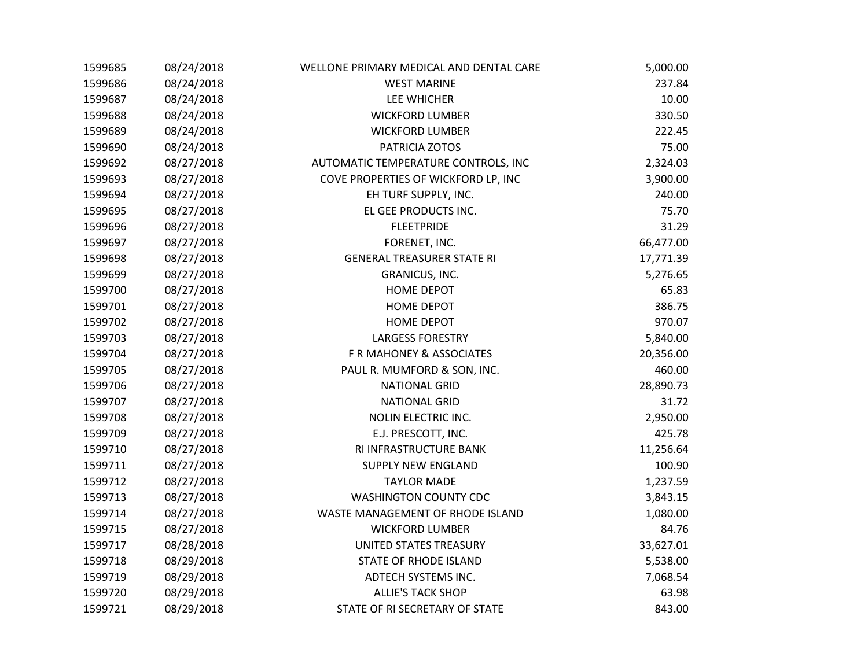| 1599685 | 08/24/2018 | WELLONE PRIMARY MEDICAL AND DENTAL CARE | 5,000.00  |
|---------|------------|-----------------------------------------|-----------|
| 1599686 | 08/24/2018 | <b>WEST MARINE</b>                      | 237.84    |
| 1599687 | 08/24/2018 | LEE WHICHER                             | 10.00     |
| 1599688 | 08/24/2018 | <b>WICKFORD LUMBER</b>                  | 330.50    |
| 1599689 | 08/24/2018 | <b>WICKFORD LUMBER</b>                  | 222.45    |
| 1599690 | 08/24/2018 | PATRICIA ZOTOS                          | 75.00     |
| 1599692 | 08/27/2018 | AUTOMATIC TEMPERATURE CONTROLS, INC     | 2,324.03  |
| 1599693 | 08/27/2018 | COVE PROPERTIES OF WICKFORD LP, INC     | 3,900.00  |
| 1599694 | 08/27/2018 | EH TURF SUPPLY, INC.                    | 240.00    |
| 1599695 | 08/27/2018 | EL GEE PRODUCTS INC.                    | 75.70     |
| 1599696 | 08/27/2018 | <b>FLEETPRIDE</b>                       | 31.29     |
| 1599697 | 08/27/2018 | FORENET, INC.                           | 66,477.00 |
| 1599698 | 08/27/2018 | <b>GENERAL TREASURER STATE RI</b>       | 17,771.39 |
| 1599699 | 08/27/2018 | GRANICUS, INC.                          | 5,276.65  |
| 1599700 | 08/27/2018 | <b>HOME DEPOT</b>                       | 65.83     |
| 1599701 | 08/27/2018 | <b>HOME DEPOT</b>                       | 386.75    |
| 1599702 | 08/27/2018 | <b>HOME DEPOT</b>                       | 970.07    |
| 1599703 | 08/27/2018 | <b>LARGESS FORESTRY</b>                 | 5,840.00  |
| 1599704 | 08/27/2018 | F R MAHONEY & ASSOCIATES                | 20,356.00 |
| 1599705 | 08/27/2018 | PAUL R. MUMFORD & SON, INC.             | 460.00    |
| 1599706 | 08/27/2018 | <b>NATIONAL GRID</b>                    | 28,890.73 |
| 1599707 | 08/27/2018 | <b>NATIONAL GRID</b>                    | 31.72     |
| 1599708 | 08/27/2018 | NOLIN ELECTRIC INC.                     | 2,950.00  |
| 1599709 | 08/27/2018 | E.J. PRESCOTT, INC.                     | 425.78    |
| 1599710 | 08/27/2018 | RI INFRASTRUCTURE BANK                  | 11,256.64 |
| 1599711 | 08/27/2018 | <b>SUPPLY NEW ENGLAND</b>               | 100.90    |
| 1599712 | 08/27/2018 | <b>TAYLOR MADE</b>                      | 1,237.59  |
| 1599713 | 08/27/2018 | WASHINGTON COUNTY CDC                   | 3,843.15  |
| 1599714 | 08/27/2018 | WASTE MANAGEMENT OF RHODE ISLAND        | 1,080.00  |
| 1599715 | 08/27/2018 | <b>WICKFORD LUMBER</b>                  | 84.76     |
| 1599717 | 08/28/2018 | UNITED STATES TREASURY                  | 33,627.01 |
| 1599718 | 08/29/2018 | STATE OF RHODE ISLAND                   | 5,538.00  |
| 1599719 | 08/29/2018 | ADTECH SYSTEMS INC.                     | 7,068.54  |
| 1599720 | 08/29/2018 | <b>ALLIE'S TACK SHOP</b>                | 63.98     |
| 1599721 | 08/29/2018 | STATE OF RI SECRETARY OF STATE          | 843.00    |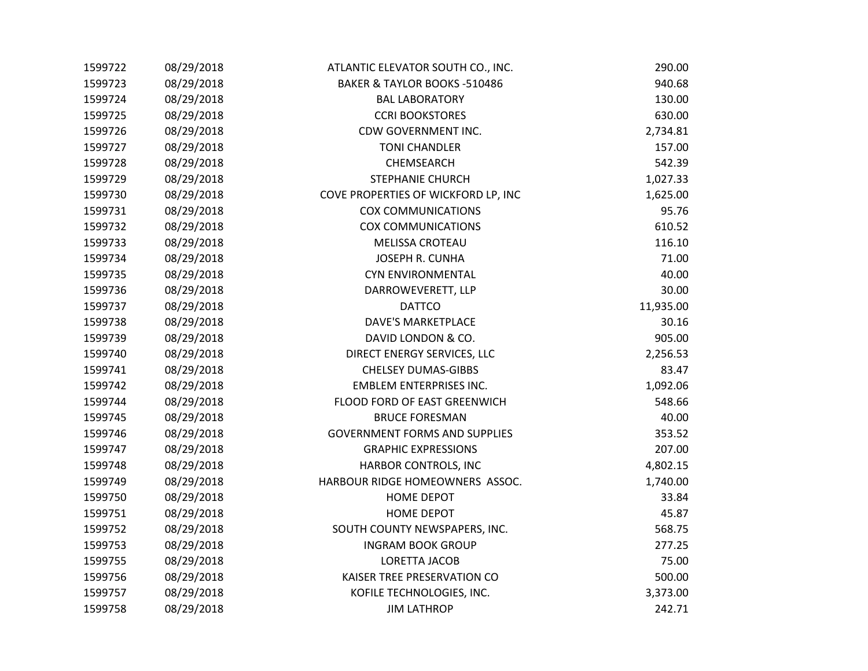| 1599722 | 08/29/2018 | ATLANTIC ELEVATOR SOUTH CO., INC.    | 290.00    |
|---------|------------|--------------------------------------|-----------|
| 1599723 | 08/29/2018 | BAKER & TAYLOR BOOKS -510486         | 940.68    |
| 1599724 | 08/29/2018 | <b>BAL LABORATORY</b>                | 130.00    |
| 1599725 | 08/29/2018 | <b>CCRI BOOKSTORES</b>               | 630.00    |
| 1599726 | 08/29/2018 | CDW GOVERNMENT INC.                  | 2,734.81  |
| 1599727 | 08/29/2018 | <b>TONI CHANDLER</b>                 | 157.00    |
| 1599728 | 08/29/2018 | CHEMSEARCH                           | 542.39    |
| 1599729 | 08/29/2018 | STEPHANIE CHURCH                     | 1,027.33  |
| 1599730 | 08/29/2018 | COVE PROPERTIES OF WICKFORD LP, INC  | 1,625.00  |
| 1599731 | 08/29/2018 | <b>COX COMMUNICATIONS</b>            | 95.76     |
| 1599732 | 08/29/2018 | <b>COX COMMUNICATIONS</b>            | 610.52    |
| 1599733 | 08/29/2018 | <b>MELISSA CROTEAU</b>               | 116.10    |
| 1599734 | 08/29/2018 | <b>JOSEPH R. CUNHA</b>               | 71.00     |
| 1599735 | 08/29/2018 | <b>CYN ENVIRONMENTAL</b>             | 40.00     |
| 1599736 | 08/29/2018 | DARROWEVERETT, LLP                   | 30.00     |
| 1599737 | 08/29/2018 | <b>DATTCO</b>                        | 11,935.00 |
| 1599738 | 08/29/2018 | DAVE'S MARKETPLACE                   | 30.16     |
| 1599739 | 08/29/2018 | DAVID LONDON & CO.                   | 905.00    |
| 1599740 | 08/29/2018 | DIRECT ENERGY SERVICES, LLC          | 2,256.53  |
| 1599741 | 08/29/2018 | <b>CHELSEY DUMAS-GIBBS</b>           | 83.47     |
| 1599742 | 08/29/2018 | <b>EMBLEM ENTERPRISES INC.</b>       | 1,092.06  |
| 1599744 | 08/29/2018 | FLOOD FORD OF EAST GREENWICH         | 548.66    |
| 1599745 | 08/29/2018 | <b>BRUCE FORESMAN</b>                | 40.00     |
| 1599746 | 08/29/2018 | <b>GOVERNMENT FORMS AND SUPPLIES</b> | 353.52    |
| 1599747 | 08/29/2018 | <b>GRAPHIC EXPRESSIONS</b>           | 207.00    |
| 1599748 | 08/29/2018 | HARBOR CONTROLS, INC                 | 4,802.15  |
| 1599749 | 08/29/2018 | HARBOUR RIDGE HOMEOWNERS ASSOC.      | 1,740.00  |
| 1599750 | 08/29/2018 | <b>HOME DEPOT</b>                    | 33.84     |
| 1599751 | 08/29/2018 | <b>HOME DEPOT</b>                    | 45.87     |
| 1599752 | 08/29/2018 | SOUTH COUNTY NEWSPAPERS, INC.        | 568.75    |
| 1599753 | 08/29/2018 | <b>INGRAM BOOK GROUP</b>             | 277.25    |
| 1599755 | 08/29/2018 | <b>LORETTA JACOB</b>                 | 75.00     |
| 1599756 | 08/29/2018 | KAISER TREE PRESERVATION CO          | 500.00    |
| 1599757 | 08/29/2018 | KOFILE TECHNOLOGIES, INC.            | 3,373.00  |
| 1599758 | 08/29/2018 | <b>JIM LATHROP</b>                   | 242.71    |
|         |            |                                      |           |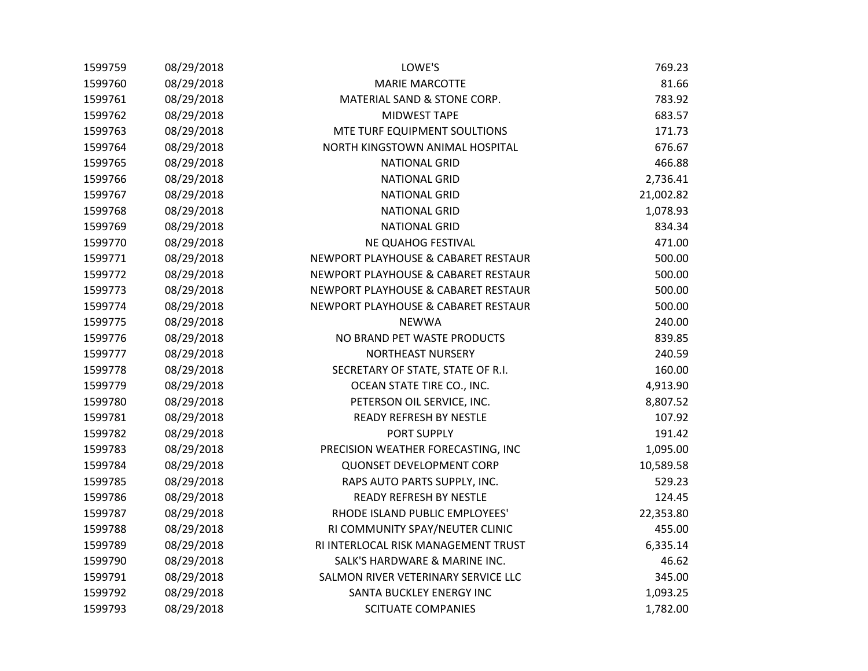| 1599759 | 08/29/2018 | LOWE'S                              | 769.23    |
|---------|------------|-------------------------------------|-----------|
| 1599760 | 08/29/2018 | <b>MARIE MARCOTTE</b>               | 81.66     |
| 1599761 | 08/29/2018 | MATERIAL SAND & STONE CORP.         | 783.92    |
| 1599762 | 08/29/2018 | <b>MIDWEST TAPE</b>                 | 683.57    |
| 1599763 | 08/29/2018 | MTE TURF EQUIPMENT SOULTIONS        | 171.73    |
| 1599764 | 08/29/2018 | NORTH KINGSTOWN ANIMAL HOSPITAL     | 676.67    |
| 1599765 | 08/29/2018 | <b>NATIONAL GRID</b>                | 466.88    |
| 1599766 | 08/29/2018 | <b>NATIONAL GRID</b>                | 2,736.41  |
| 1599767 | 08/29/2018 | <b>NATIONAL GRID</b>                | 21,002.82 |
| 1599768 | 08/29/2018 | <b>NATIONAL GRID</b>                | 1,078.93  |
| 1599769 | 08/29/2018 | <b>NATIONAL GRID</b>                | 834.34    |
| 1599770 | 08/29/2018 | NE QUAHOG FESTIVAL                  | 471.00    |
| 1599771 | 08/29/2018 | NEWPORT PLAYHOUSE & CABARET RESTAUR | 500.00    |
| 1599772 | 08/29/2018 | NEWPORT PLAYHOUSE & CABARET RESTAUR | 500.00    |
| 1599773 | 08/29/2018 | NEWPORT PLAYHOUSE & CABARET RESTAUR | 500.00    |
| 1599774 | 08/29/2018 | NEWPORT PLAYHOUSE & CABARET RESTAUR | 500.00    |
| 1599775 | 08/29/2018 | <b>NEWWA</b>                        | 240.00    |
| 1599776 | 08/29/2018 | NO BRAND PET WASTE PRODUCTS         | 839.85    |
| 1599777 | 08/29/2018 | <b>NORTHEAST NURSERY</b>            | 240.59    |
| 1599778 | 08/29/2018 | SECRETARY OF STATE, STATE OF R.I.   | 160.00    |
| 1599779 | 08/29/2018 | OCEAN STATE TIRE CO., INC.          | 4,913.90  |
| 1599780 | 08/29/2018 | PETERSON OIL SERVICE, INC.          | 8,807.52  |
| 1599781 | 08/29/2018 | READY REFRESH BY NESTLE             | 107.92    |
| 1599782 | 08/29/2018 | PORT SUPPLY                         | 191.42    |
| 1599783 | 08/29/2018 | PRECISION WEATHER FORECASTING, INC  | 1,095.00  |
| 1599784 | 08/29/2018 | <b>QUONSET DEVELOPMENT CORP</b>     | 10,589.58 |
| 1599785 | 08/29/2018 | RAPS AUTO PARTS SUPPLY, INC.        | 529.23    |
| 1599786 | 08/29/2018 | <b>READY REFRESH BY NESTLE</b>      | 124.45    |
| 1599787 | 08/29/2018 | RHODE ISLAND PUBLIC EMPLOYEES'      | 22,353.80 |
| 1599788 | 08/29/2018 | RI COMMUNITY SPAY/NEUTER CLINIC     | 455.00    |
| 1599789 | 08/29/2018 | RI INTERLOCAL RISK MANAGEMENT TRUST | 6,335.14  |
| 1599790 | 08/29/2018 | SALK'S HARDWARE & MARINE INC.       | 46.62     |
| 1599791 | 08/29/2018 | SALMON RIVER VETERINARY SERVICE LLC | 345.00    |
| 1599792 | 08/29/2018 | SANTA BUCKLEY ENERGY INC            | 1,093.25  |
| 1599793 | 08/29/2018 | <b>SCITUATE COMPANIES</b>           | 1,782.00  |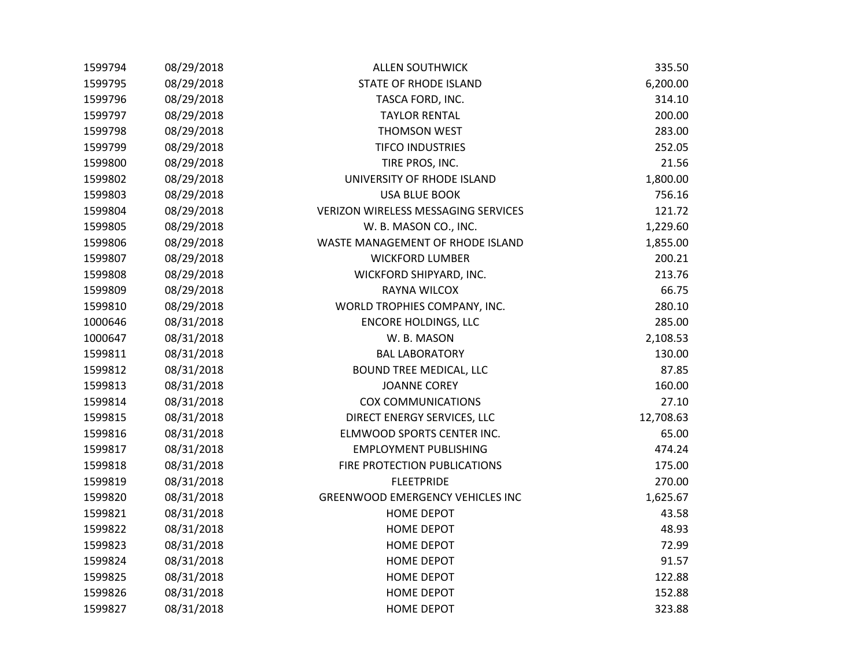| 1599794 | 08/29/2018 | <b>ALLEN SOUTHWICK</b>                  | 335.50    |
|---------|------------|-----------------------------------------|-----------|
| 1599795 | 08/29/2018 | STATE OF RHODE ISLAND                   | 6,200.00  |
| 1599796 | 08/29/2018 | TASCA FORD, INC.                        | 314.10    |
| 1599797 | 08/29/2018 | <b>TAYLOR RENTAL</b>                    | 200.00    |
| 1599798 | 08/29/2018 | THOMSON WEST                            | 283.00    |
| 1599799 | 08/29/2018 | <b>TIFCO INDUSTRIES</b>                 | 252.05    |
| 1599800 | 08/29/2018 | TIRE PROS, INC.                         | 21.56     |
| 1599802 | 08/29/2018 | UNIVERSITY OF RHODE ISLAND              | 1,800.00  |
| 1599803 | 08/29/2018 | <b>USA BLUE BOOK</b>                    | 756.16    |
| 1599804 | 08/29/2018 | VERIZON WIRELESS MESSAGING SERVICES     | 121.72    |
| 1599805 | 08/29/2018 | W. B. MASON CO., INC.                   | 1,229.60  |
| 1599806 | 08/29/2018 | WASTE MANAGEMENT OF RHODE ISLAND        | 1,855.00  |
| 1599807 | 08/29/2018 | <b>WICKFORD LUMBER</b>                  | 200.21    |
| 1599808 | 08/29/2018 | WICKFORD SHIPYARD, INC.                 | 213.76    |
| 1599809 | 08/29/2018 | RAYNA WILCOX                            | 66.75     |
| 1599810 | 08/29/2018 | WORLD TROPHIES COMPANY, INC.            | 280.10    |
| 1000646 | 08/31/2018 | <b>ENCORE HOLDINGS, LLC</b>             | 285.00    |
| 1000647 | 08/31/2018 | W. B. MASON                             | 2,108.53  |
| 1599811 | 08/31/2018 | <b>BAL LABORATORY</b>                   | 130.00    |
| 1599812 | 08/31/2018 | <b>BOUND TREE MEDICAL, LLC</b>          | 87.85     |
| 1599813 | 08/31/2018 | <b>JOANNE COREY</b>                     | 160.00    |
| 1599814 | 08/31/2018 | <b>COX COMMUNICATIONS</b>               | 27.10     |
| 1599815 | 08/31/2018 | DIRECT ENERGY SERVICES, LLC             | 12,708.63 |
| 1599816 | 08/31/2018 | ELMWOOD SPORTS CENTER INC.              | 65.00     |
| 1599817 | 08/31/2018 | <b>EMPLOYMENT PUBLISHING</b>            | 474.24    |
| 1599818 | 08/31/2018 | FIRE PROTECTION PUBLICATIONS            | 175.00    |
| 1599819 | 08/31/2018 | <b>FLEETPRIDE</b>                       | 270.00    |
| 1599820 | 08/31/2018 | <b>GREENWOOD EMERGENCY VEHICLES INC</b> | 1,625.67  |
| 1599821 | 08/31/2018 | <b>HOME DEPOT</b>                       | 43.58     |
| 1599822 | 08/31/2018 | <b>HOME DEPOT</b>                       | 48.93     |
| 1599823 | 08/31/2018 | <b>HOME DEPOT</b>                       | 72.99     |
| 1599824 | 08/31/2018 | HOME DEPOT                              | 91.57     |
| 1599825 | 08/31/2018 | <b>HOME DEPOT</b>                       | 122.88    |
| 1599826 | 08/31/2018 | <b>HOME DEPOT</b>                       | 152.88    |
| 1599827 | 08/31/2018 | <b>HOME DEPOT</b>                       | 323.88    |